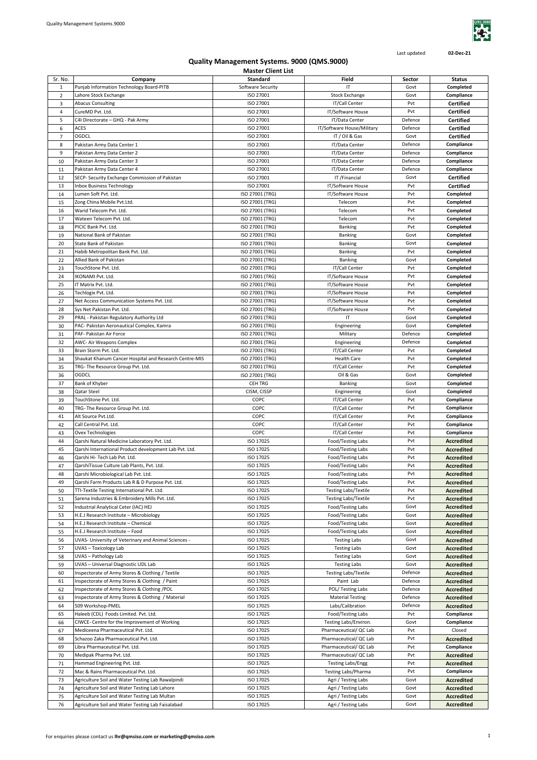

Last updated **02-Dec-21**

|                |                                                        | iviaster cilent List |                             |         |                   |
|----------------|--------------------------------------------------------|----------------------|-----------------------------|---------|-------------------|
| Sr. No.        | Company                                                | Standard             | Field                       | Sector  | <b>Status</b>     |
| 1              | Punjab Information Technology Board-PITB               | Software Security    | IT                          | Govt    | Completed         |
|                |                                                        |                      |                             |         |                   |
| $\overline{2}$ | Lahore Stock Exchange                                  | ISO 27001            | <b>Stock Exchange</b>       | Govt    | Compliance        |
| 3              | <b>Abacus Consulting</b>                               | ISO 27001            | IT/Call Center              | Pvt     | Certified         |
|                |                                                        |                      |                             | Pvt     |                   |
| 4              | CureMD Pvt. Ltd.                                       | ISO 27001            | IT/Software House           |         | <b>Certified</b>  |
| 5              | C4I Directorate - GHQ - Pak Army                       | ISO 27001            | IT/Data Center              | Defence | <b>Certified</b>  |
| 6              | ACES                                                   | ISO 27001            | IT/Software House/Military  | Defence | Certified         |
|                |                                                        |                      |                             |         |                   |
| $\overline{7}$ | OGDCL                                                  | ISO 27001            | IT / Oil & Gas              | Govt    | <b>Certified</b>  |
| 8              | Pakistan Army Data Center 1                            | ISO 27001            | IT/Data Center              | Defence | Compliance        |
|                |                                                        |                      |                             |         |                   |
| 9              | Pakistan Army Data Center 2                            | ISO 27001            | IT/Data Center              | Defence | Compliance        |
| 10             | Pakistan Army Data Center 3                            | ISO 27001            | IT/Data Center              | Defence | Compliance        |
|                |                                                        |                      |                             |         |                   |
| 11             | Pakistan Army Data Center 4                            | ISO 27001            | IT/Data Center              | Defence | Compliance        |
| 12             | SECP- Security Exchange Commission of Pakistan         | ISO 27001            | IT/Financial                | Govt    | <b>Certified</b>  |
|                |                                                        |                      |                             |         |                   |
| 13             | <b>Inbox Business Technology</b>                       | ISO 27001            | IT/Software House           | Pvt     | <b>Certified</b>  |
| 14             | Lumen Soft Pvt. Ltd.                                   | ISO 27001 (TRG)      | IT/Software House           | Pvt     | Completed         |
|                | Zong China Mobile Pvt.Ltd.                             | ISO 27001 (TRG)      | Telecom                     | Pvt     | Completed         |
| 15             |                                                        |                      |                             |         |                   |
| 16             | Warid Telecom Pvt. Ltd.                                | ISO 27001 (TRG)      | Telecom                     | Pvt     | Completed         |
| 17             | Wateen Telecom Pvt. Ltd.                               | ISO 27001 (TRG)      | Telecom                     | Pvt     | Completed         |
|                |                                                        |                      |                             |         |                   |
| 18             | PICIC Bank Pvt. Ltd.                                   | ISO 27001 (TRG)      | Banking                     | Pvt     | Completed         |
| 19             | National Bank of Pakistan                              | ISO 27001 (TRG)      | Banking                     | Govt    | Completed         |
|                |                                                        |                      |                             |         |                   |
| 20             | State Bank of Pakistan                                 | ISO 27001 (TRG)      | Banking                     | Govt    | Completed         |
| 21             | Habib Metropolitan Bank Pvt. Ltd.                      | ISO 27001 (TRG)      | Banking                     | Pvt     | Completed         |
|                |                                                        |                      |                             |         |                   |
| 22             | Allied Bank of Pakistan                                | ISO 27001 (TRG)      | Banking                     | Govt    | Completed         |
| 23             | TouchStone Pvt. Ltd.                                   | ISO 27001 (TRG)      | IT/Call Center              | Pvt     | Completed         |
|                |                                                        |                      |                             |         |                   |
| 24             | IKONAMI Pvt. Ltd.                                      | ISO 27001 (TRG)      | IT/Software House           | Pvt     | Completed         |
| 25             | IT Matrix Pvt. Ltd.                                    | ISO 27001 (TRG)      | IT/Software House           | Pvt     | Completed         |
|                |                                                        |                      |                             |         |                   |
| 26             | Techlogix Pvt. Ltd.                                    | ISO 27001 (TRG)      | IT/Software House           | Pvt     | Completed         |
| 27             | Net Access Communication Systems Pvt. Ltd.             | ISO 27001 (TRG)      | IT/Software House           | Pvt     | Completed         |
| 28             | Sys Net Pakistan Pvt. Ltd.                             | ISO 27001 (TRG)      | IT/Software House           | Pvt     | Completed         |
|                |                                                        |                      |                             |         |                   |
| 29             | PRAL - Pakistan Regulatory Authority Ltd               | ISO 27001 (TRG)      | ΙT                          | Govt    | Completed         |
| 30             | PAC- Pakistan Aeronautical Complex, Kamra              | ISO 27001 (TRG)      | Engineering                 | Govt    | Completed         |
|                |                                                        |                      |                             |         |                   |
| 31             | PAF- Pakistan Air Force                                | ISO 27001 (TRG)      | Military                    | Defence | Completed         |
| 32             | <b>AWC- Air Weapons Complex</b>                        | ISO 27001 (TRG)      | Engineering                 | Defence | Completed         |
|                |                                                        |                      |                             |         |                   |
| 33             | Brain Storm Pvt. Ltd.                                  | ISO 27001 (TRG)      | IT/Call Center              | Pvt     | Completed         |
| 34             | Shaukat Khanum Cancer Hospital and Research Centre-MIS | ISO 27001 (TRG)      | <b>Health Care</b>          | Pvt     | Completed         |
|                |                                                        |                      |                             |         |                   |
| 35             | TRG- The Resource Group Pvt. Ltd.                      | ISO 27001 (TRG)      | IT/Call Center              | Pvt     | Completed         |
| 36             | OGDCL                                                  | ISO 27001 (TRG)      | Oil & Gas                   | Govt    | Completed         |
|                |                                                        |                      |                             |         |                   |
| 37             | Bank of Khyber                                         | <b>CEH TRG</b>       | Banking                     | Govt    | Completed         |
| 38             | Qatar Steel                                            | CISM, CISSP          | Engineering                 | Govt    | Completed         |
|                |                                                        | COPC                 |                             | Pvt     |                   |
| 39             | TouchStone Pvt. Ltd.                                   |                      | IT/Call Center              |         | Compliance        |
| 40             | TRG- The Resource Group Pvt. Ltd.                      | COPC                 | IT/Call Center              | Pvt     | Compliance        |
| 41             | Alt Source Pvt.Ltd.                                    | COPC                 | IT/Call Center              | Pvt     | Compliance        |
|                |                                                        |                      |                             |         |                   |
| 42             | Call Central Pvt. Ltd.                                 | COPC                 | IT/Call Center              | Pvt     | Compliance        |
| 43             | Ovex Technologies                                      | COPC                 | IT/Call Center              | Pvt     | Compliance        |
|                |                                                        |                      |                             |         |                   |
| 44             | Qarshi Natural Medicine Laboratory Pvt. Ltd.           | ISO 17025            | Food/Testing Labs           | Pvt     | <b>Accredited</b> |
| 45             | Qarshi International Product development Lab Pvt. Ltd. | ISO 17025            | Food/Testing Labs           | Pvt     | <b>Accredited</b> |
|                |                                                        |                      |                             |         |                   |
| 46             | Qarshi Hi- Tech Lab Pvt. Ltd.                          | ISO 17025            | Food/Testing Labs           | Pvt     | <b>Accredited</b> |
| 47             | QarshiTissue Culture Lab Plants, Pvt. Ltd.             | ISO 17025            | Food/Testing Labs           | Pvt     | <b>Accredited</b> |
|                |                                                        |                      |                             |         |                   |
| 48             | Qarshi Microbiological Lab Pvt. Ltd.                   | ISO 17025            | Food/Testing Labs           | Pvt     | <b>Accredited</b> |
| 49             | Qarshi Farm Products Lab R & D Purpose Pvt. Ltd.       | ISO 17025            | Food/Testing Labs           | Pvt     | <b>Accredited</b> |
|                |                                                        |                      |                             |         |                   |
| 50             | TTI-Textile Testing International Pvt. Ltd.            | ISO 17025            | <b>Testing Labs/Textile</b> | Pvt     | Accredited        |
| 51             | Sarena Industries & Embroidery Mills Pvt. Ltd.         | ISO 17025            | Testing Labs/Textile        | Pvt     | <b>Accredited</b> |
|                |                                                        |                      |                             |         |                   |
| 52             | Industrial Analytical Ceter (IAC) HEJ                  | ISO 17025            | Food/Testing Labs           | Govt    | <b>Accredited</b> |
| 53             | H.E.J Research Institute - Microbiology                | ISO 17025            | Food/Testing Labs           | Govt    | <b>Accredited</b> |
| 54             | H.E.J Research Institute - Chemical                    | ISO 17025            | Food/Testing Labs           | Govt    | Accredited        |
|                |                                                        |                      |                             |         |                   |
| 55             | H.E.J Research Institute - Food                        | ISO 17025            | Food/Testing Labs           | Govt    | Accredited        |
| 56             | UVAS- University of Veterinary and Animal Sciences -   | ISO 17025            | <b>Testing Labs</b>         | Govt    | Accredited        |
|                |                                                        |                      |                             |         |                   |
| 57             | UVAS - Toxicology Lab                                  | ISO 17025            | <b>Testing Labs</b>         | Govt    | Accredited        |
| 58             | UVAS - Pathology Lab                                   | ISO 17025            | <b>Testing Labs</b>         | Govt    | <b>Accredited</b> |
|                |                                                        |                      |                             |         |                   |
| 59             | UVAS - Universal Diagnostic UDL Lab                    | ISO 17025            | <b>Testing Labs</b>         | Govt    | <b>Accredited</b> |
| 60             | Inspectorate of Army Stores & Clothing / Textile       | ISO 17025            | <b>Testing Labs/Textile</b> | Defence | <b>Accredited</b> |
|                |                                                        |                      |                             |         |                   |
| 61             | Inspectorate of Army Stores & Clothing / Paint         | ISO 17025            | Paint Lab                   | Defence | <b>Accredited</b> |
| 62             | Inspectorate of Army Stores & Clothing /POL            | ISO 17025            | POL/Testing Labs            | Defence | <b>Accredited</b> |
|                |                                                        |                      |                             |         |                   |
| 63             | Inspectorate of Army Stores & Clothing / Material      | ISO 17025            | <b>Material Testing</b>     | Defence | <b>Accredited</b> |
| 64             | 509 Workshop-PMEL                                      | ISO 17025            | Labs/Calibration            | Defence | <b>Accredited</b> |
|                |                                                        |                      |                             |         |                   |
| 65             | Haleeb (CDL) Foods Limited. Pvt. Ltd.                  | ISO 17025            | Food/Testing Labs           | Pvt     | Compliance        |
| 66             | CIWCE- Centre for the Improvement of Working           | ISO 17025            | Testing Labs/Environ.       | Govt    | Compliance        |
|                |                                                        |                      |                             | Pvt     |                   |
| 67             | Mediceena Pharmaceutical Pvt. Ltd.                     | ISO 17025            | Pharmaceutical/QC Lab       |         | Closed            |
| 68             | Schazoo Zaka Pharmaceutical Pvt. Ltd.                  | ISO 17025            | Pharmaceutical/QC Lab       | Pvt     | Accredited        |
| 69             | Libra Pharmaceutical Pvt. Ltd.                         | ISO 17025            | Pharmaceutical/ QC Lab      | Pvt     | Compliance        |
|                |                                                        |                      |                             |         |                   |
| 70             | Medipak Pharma Pvt. Ltd.                               | ISO 17025            | Pharmaceutical/ QC Lab      | Pvt     | <b>Accredited</b> |
| 71             | Hammad Engineering Pvt. Ltd.                           | ISO 17025            | <b>Testing Labs/Engg</b>    | Pvt     | <b>Accredited</b> |
|                |                                                        |                      |                             |         |                   |
| 72             | Mac & Rains Pharmaceutical Pvt. Ltd.                   | ISO 17025            | Testing Labs/Pharma         | Pvt     | Compliance        |
| 73             | Agriculture Soil and Water Testing Lab Rawalpindi      | ISO 17025            | Agri / Testing Labs         | Govt    | <b>Accredited</b> |
|                |                                                        |                      |                             |         |                   |
| 74             | Agriculture Soil and Water Testing Lab Lahore          | ISO 17025            | Agri / Testing Labs         | Govt    | <b>Accredited</b> |
| 75             | Agriculture Soil and Water Testing Lab Multan          | ISO 17025            | Agri / Testing Labs         | Govt    | <b>Accredited</b> |
|                |                                                        |                      |                             |         |                   |
| 76             | Agriculture Soil and Water Testing Lab Faisalabad      | ISO 17025            | Agri / Testing Labs         | Govt    | <b>Accredited</b> |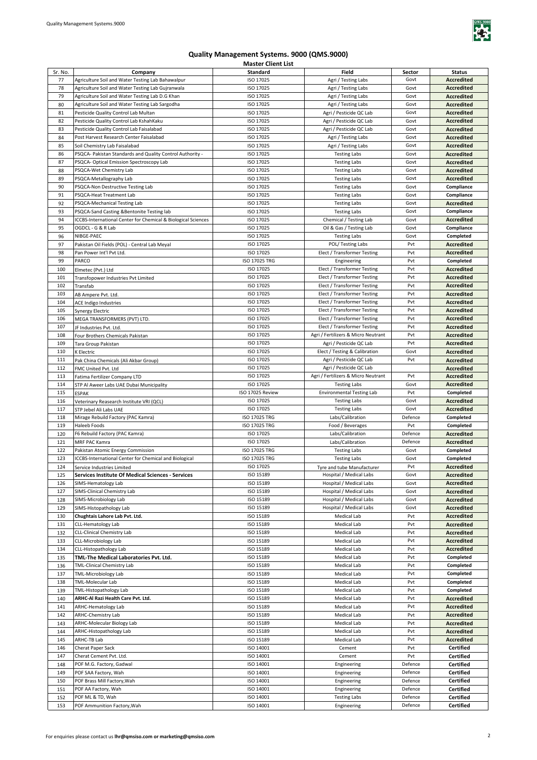

|         |                                                               | ויוטאנטו טווטווג בואנ |                                     |         |                   |
|---------|---------------------------------------------------------------|-----------------------|-------------------------------------|---------|-------------------|
| Sr. No. | Company                                                       | Standard              | Field                               | Sector  | <b>Status</b>     |
| 77      | Agriculture Soil and Water Testing Lab Bahawalpur             | ISO 17025             | Agri / Testing Labs                 | Govt    | <b>Accredited</b> |
| 78      | Agriculture Soil and Water Testing Lab Gujranwala             | ISO 17025             | Agri / Testing Labs                 | Govt    | <b>Accredited</b> |
| 79      | Agriculture Soil and Water Testing Lab D.G Khan               | ISO 17025             | Agri / Testing Labs                 | Govt    |                   |
|         |                                                               |                       |                                     |         | <b>Accredited</b> |
| 80      | Agriculture Soil and Water Testing Lab Sargodha               | ISO 17025             | Agri / Testing Labs                 | Govt    | <b>Accredited</b> |
| 81      | Pesticide Quality Control Lab Multan                          | ISO 17025             | Agri / Pesticide QC Lab             | Govt    | <b>Accredited</b> |
| 82      | Pesticide Quality Control Lab KshahKaku                       | ISO 17025             | Agri / Pesticide QC Lab             | Govt    | <b>Accredited</b> |
| 83      | Pesticide Quality Control Lab Faisalabad                      | ISO 17025             | Agri / Pesticide QC Lab             | Govt    | Accredited        |
|         |                                                               |                       |                                     |         |                   |
| 84      | Post Harvest Research Center Faisalabad                       | ISO 17025             | Agri / Testing Labs                 | Govt    | <b>Accredited</b> |
| 85      | Soil Chemistry Lab Faisalabad                                 | ISO 17025             | Agri / Testing Labs                 | Govt    | <b>Accredited</b> |
| 86      | PSQCA- Pakistan Standards and Quality Control Authority -     | ISO 17025             | <b>Testing Labs</b>                 | Govt    | <b>Accredited</b> |
| 87      | PSQCA- Optical Emission Spectroscopy Lab                      | ISO 17025             | <b>Testing Labs</b>                 | Govt    | <b>Accredited</b> |
|         |                                                               |                       |                                     |         |                   |
| 88      | PSQCA-Wet Chemistry Lab                                       | ISO 17025             | <b>Testing Labs</b>                 | Govt    | <b>Accredited</b> |
| 89      | PSQCA-Metallography Lab                                       | ISO 17025             | <b>Testing Labs</b>                 | Govt    | <b>Accredited</b> |
| 90      | PSQCA-Non Destructive Testing Lab                             | ISO 17025             | <b>Testing Labs</b>                 | Govt    | Compliance        |
| 91      | PSQCA-Heat Treatment Lab                                      | ISO 17025             | <b>Testing Labs</b>                 | Govt    | Compliance        |
|         | PSQCA-Mechanical Testing Lab                                  | ISO 17025             |                                     | Govt    |                   |
| 92      |                                                               |                       | <b>Testing Labs</b>                 |         | <b>Accredited</b> |
| 93      | PSQCA-Sand Casting & Bentonite Testing lab                    | ISO 17025             | <b>Testing Labs</b>                 | Govt    | Compliance        |
| 94      | ICCBS-International Center for Chemical & Biological Sciences | ISO 17025             | Chemical / Testing Lab              | Govt    | Accredited        |
| 95      | OGDCL - G & R Lab                                             | ISO 17025             | Oil & Gas / Testing Lab             | Govt    | Compliance        |
| 96      | NIBGE-PAEC                                                    | ISO 17025             | <b>Testing Labs</b>                 | Govt    | Completed         |
|         |                                                               |                       |                                     |         |                   |
| 97      | Pakistan Oil Fields (POL) - Central Lab Meyal                 | ISO 17025             | POL/Testing Labs                    | Pvt     | <b>Accredited</b> |
| 98      | Pan Power Int'l Pvt Ltd.                                      | ISO 17025             | Elect / Transformer Testing         | Pvt     | <b>Accredited</b> |
| 99      | PARCO                                                         | ISO 17025 TRG         | Engineering                         | Pvt     | Completed         |
| 100     |                                                               | ISO 17025             | Elect / Transformer Testing         | Pvt     | <b>Accredited</b> |
|         | Elmetec (Pvt.) Ltd                                            |                       |                                     |         |                   |
| 101     | Transfopower Industries Pvt Limited                           | ISO 17025             | Elect / Transformer Testing         | Pvt     | <b>Accredited</b> |
| 102     | Transfab                                                      | ISO 17025             | Elect / Transformer Testing         | Pvt     | <b>Accredited</b> |
| 103     | AB Ampere Pvt. Ltd.                                           | ISO 17025             | Elect / Transformer Testing         | Pvt     | <b>Accredited</b> |
| 104     |                                                               | ISO 17025             | Elect / Transformer Testing         | Pvt     | <b>Accredited</b> |
|         | ACE Indigo Industries                                         |                       |                                     |         |                   |
| 105     | Synergy Electric                                              | ISO 17025             | Elect / Transformer Testing         | Pvt     | <b>Accredited</b> |
| 106     | MEGA TRANSFORMERS (PVT) LTD.                                  | ISO 17025             | Elect / Transformer Testing         | Pvt     | <b>Accredited</b> |
| 107     | JF Industries Pvt. Ltd.                                       | ISO 17025             | Elect / Transformer Testing         | Pvt     | <b>Accredited</b> |
| 108     |                                                               | ISO 17025             | Agri / Fertilizers & Micro Neutrant | Pvt     | <b>Accredited</b> |
|         | Four Brothers Chemicals Pakistan                              |                       |                                     |         |                   |
| 109     | Tara Group Pakistan                                           | ISO 17025             | Agri / Pesticide QC Lab             | Pvt     | <b>Accredited</b> |
| 110     | K Electric                                                    | ISO 17025             | Elect / Testing & Calibration       | Govt    | <b>Accredited</b> |
| 111     | Pak China Chemicals (Ali Akbar Group)                         | ISO 17025             | Agri / Pesticide QC Lab             | Pvt     | Accredited        |
| 112     | FMC United Pvt. Ltd                                           | ISO 17025             | Agri / Pesticide QC Lab             |         | <b>Accredited</b> |
|         |                                                               |                       |                                     |         |                   |
| 113     | Fatima Fertilizer Company LTD                                 | ISO 17025             | Agri / Fertilizers & Micro Neutrant | Pvt     | <b>Accredited</b> |
| 114     | STP Al Aweer Labs UAE Dubai Municipality                      | ISO 17025             | <b>Testing Labs</b>                 | Govt    | <b>Accredited</b> |
| 115     | <b>ESPAK</b>                                                  | ISO 17025 Review      | <b>Environmental Testing Lab</b>    | Pvt     | Completed         |
| 116     | Veterinary Reasearch Institute VRI (QCL)                      | ISO 17025             | <b>Testing Labs</b>                 | Govt    | <b>Accredited</b> |
| 117     |                                                               | ISO 17025             | <b>Testing Labs</b>                 | Govt    | <b>Accredited</b> |
|         | STP Jebel Ali Labs UAE                                        |                       |                                     |         |                   |
| 118     | Mirage Rebuild Factory (PAC Kamra)                            | ISO 17025 TRG         | Labs/Calibration                    | Defence | Completed         |
| 119     | Haleeb Foods                                                  | ISO 17025 TRG         | Food / Beverages                    | Pvt     | Completed         |
| 120     | F6 Rebuild Factory (PAC Kamra)                                | ISO 17025             | Labs/Calibration                    | Defence | <b>Accredited</b> |
| 121     | MRF PAC Kamra                                                 | ISO 17025             | Labs/Calibration                    | Defence | <b>Accredited</b> |
|         |                                                               |                       |                                     |         |                   |
| 122     | Pakistan Atomic Energy Commission                             | ISO 17025 TRG         | <b>Testing Labs</b>                 | Govt    | Completed         |
| 123     | ICCBS-International Center for Chemical and Biological        | ISO 17025 TRG         | <b>Testing Labs</b>                 | Govt    | Completed         |
| 124     | Service Industries Limited                                    | ISO 17025             | Tyre and tube Manufacturer          | Pvt     | <b>Accredited</b> |
| 125     | Services Institute Of Medical Sciences - Services             | ISO 15189             | Hospital / Medical Labs             | Govt    | Accredited        |
|         |                                                               |                       |                                     |         |                   |
| 126     | SIMS-Hematology Lab                                           | ISO 15189             | Hospital / Medical Labs             | Govt    | Accredited        |
| 127     | SIMS-Clinical Chemistry Lab                                   | ISO 15189             | Hospital / Medical Labs             | Govt    | <b>Accredited</b> |
| 128     | SIMS-Microbiology Lab                                         | ISO 15189             | Hospital / Medical Labs             | Govt    | <b>Accredited</b> |
| 129     | SIMS-Histopathology Lab                                       | ISO 15189             | Hospital / Medical Labs             | Govt    | <b>Accredited</b> |
| 130     | Chughtais Lahore Lab Pvt. Ltd.                                | ISO 15189             | Medical Lab                         | Pvt     | <b>Accredited</b> |
|         |                                                               |                       |                                     |         |                   |
| 131     | CLL-Hematology Lab                                            | ISO 15189             | Medical Lab                         | Pvt     | <b>Accredited</b> |
| 132     | CLL-Clinical Chemistry Lab                                    | ISO 15189             | Medical Lab                         | Pvt     | <b>Accredited</b> |
| 133     | CLL-Microbiology Lab                                          | ISO 15189             | Medical Lab                         | Pvt     | <b>Accredited</b> |
| 134     | CLL-Histopathology Lab                                        | ISO 15189             | Medical Lab                         | Pvt     | <b>Accredited</b> |
|         |                                                               | ISO 15189             | Medical Lab                         |         |                   |
| 135     | TML-The Medical Laboratories Pvt. Ltd.                        |                       |                                     | Pvt     | Completed         |
| 136     | <b>TML-Clinical Chemistry Lab</b>                             | ISO 15189             | Medical Lab                         | Pvt     | Completed         |
| 137     | TML-Microbiology Lab                                          | ISO 15189             | Medical Lab                         | Pvt     | Completed         |
| 138     | TML-Molecular Lab                                             | ISO 15189             | Medical Lab                         | Pvt     | Completed         |
|         |                                                               |                       |                                     | Pvt     | Completed         |
| 139     | TML-Histopathology Lab                                        | ISO 15189             | Medical Lab                         |         |                   |
| 140     | ARHC-Al Razi Health Care Pvt. Ltd.                            | ISO 15189             | Medical Lab                         | Pvt     | Accredited        |
| 141     | ARHC-Hematology Lab                                           | ISO 15189             | Medical Lab                         | Pvt     | <b>Accredited</b> |
| 142     | <b>ARHC-Chemistry Lab</b>                                     | ISO 15189             | Medical Lab                         | Pvt     | Accredited        |
| 143     | ARHC-Molecular Biology Lab                                    | ISO 15189             | Medical Lab                         | Pvt     | Accredited        |
|         |                                                               |                       |                                     |         |                   |
| 144     | ARHC-Histopathology Lab                                       | ISO 15189             | Medical Lab                         | Pvt     | Accredited        |
| 145     | ARHC-TB Lab                                                   | ISO 15189             | Medical Lab                         | Pvt     | <b>Accredited</b> |
| 146     | Cherat Paper Sack                                             | ISO 14001             | Cement                              | Pvt     | Certified         |
| 147     | Cherat Cement Pvt. Ltd.                                       | ISO 14001             | Cement                              | Pvt     | Certified         |
|         |                                                               |                       |                                     |         |                   |
| 148     | POF M.G. Factory, Gadwal                                      | ISO 14001             | Engineering                         | Defence | <b>Certified</b>  |
| 149     | POF SAA Factory, Wah                                          | ISO 14001             | Engineering                         | Defence | Certified         |
| 150     | POF Brass Mill Factory, Wah                                   | ISO 14001             | Engineering                         | Defence | Certified         |
| 151     | POF AA Factory, Wah                                           | ISO 14001             | Engineering                         | Defence | <b>Certified</b>  |
|         |                                                               |                       |                                     |         |                   |
| 152     | POF ML & TD, Wah                                              | ISO 14001             | <b>Testing Labs</b>                 | Defence | <b>Certified</b>  |
| 153     | POF Ammunition Factory, Wah                                   | ISO 14001             | Engineering                         | Defence | <b>Certified</b>  |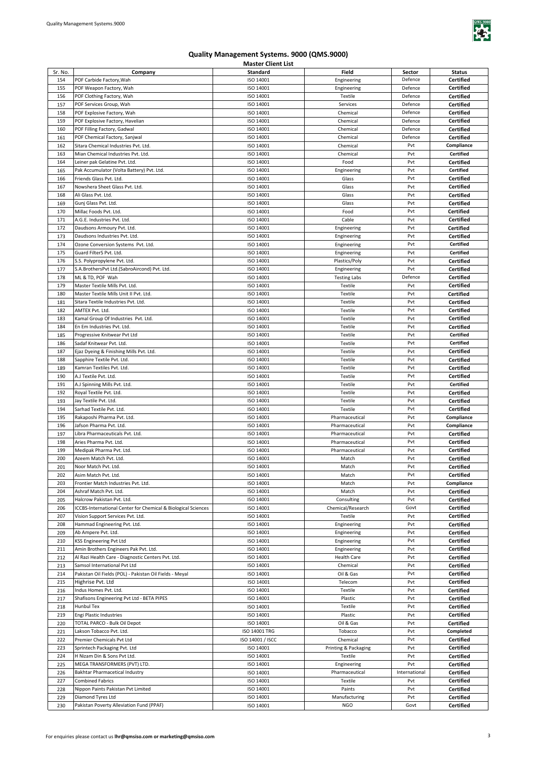

| Sr. No. | Company                                                       | Standard         | Field                | Sector        | <b>Status</b>    |
|---------|---------------------------------------------------------------|------------------|----------------------|---------------|------------------|
|         |                                                               |                  |                      |               |                  |
| 154     | POF Carbide Factory, Wah                                      | ISO 14001        | Engineering          | Defence       | Certified        |
| 155     | POF Weapon Factory, Wah                                       | ISO 14001        | Engineering          | Defence       | <b>Certified</b> |
| 156     | POF Clothing Factory, Wah                                     | ISO 14001        | Textile              | Defence       | Certified        |
|         |                                                               |                  |                      |               |                  |
| 157     | POF Services Group, Wah                                       | ISO 14001        | Services             | Defence       | Certified        |
| 158     | POF Explosive Factory, Wah                                    | ISO 14001        | Chemical             | Defence       | Certified        |
| 159     | POF Explosive Factory, Havelian                               | ISO 14001        | Chemical             | Defence       | Certified        |
|         |                                                               | ISO 14001        |                      |               |                  |
| 160     | POF Filling Factory, Gadwal                                   |                  | Chemical             | Defence       | Certified        |
| 161     | POF Chemical Factory, Sanjwal                                 | ISO 14001        | Chemical             | Defence       | Certified        |
| 162     | Sitara Chemical Industries Pvt. Ltd.                          | ISO 14001        | Chemical             | Pvt           | Compliance       |
|         |                                                               |                  |                      |               |                  |
| 163     | Mian Chemical Industries Pvt. Ltd.                            | ISO 14001        | Chemical             | Pvt           | <b>Certified</b> |
| 164     | Leiner pak Gelatine Pvt. Ltd.                                 | ISO 14001        | Food                 | Pvt           | <b>Certified</b> |
| 165     | Pak Accumulator (Volta Battery) Pvt. Ltd.                     | ISO 14001        | Engineering          | Pvt           | Certified        |
|         |                                                               |                  |                      |               |                  |
| 166     | Friends Glass Pvt. Ltd.                                       | ISO 14001        | Glass                | Pvt           | Certified        |
| 167     | Nowshera Sheet Glass Pvt. Ltd.                                | ISO 14001        | Glass                | Pvt           | Certified        |
| 168     | Ali Glass Pvt. Ltd.                                           | ISO 14001        | Glass                | Pvt           | Certified        |
|         |                                                               |                  |                      |               |                  |
| 169     | Gunj Glass Pvt. Ltd.                                          | ISO 14001        | Glass                | Pvt           | <b>Certified</b> |
| 170     | Millac Foods Pvt. Ltd.                                        | ISO 14001        | Food                 | Pvt           | <b>Certified</b> |
| 171     | A.G.E. Industries Pvt. Ltd.                                   | ISO 14001        | Cable                | Pvt           | Certified        |
|         |                                                               |                  |                      |               |                  |
| 172     | Daudsons Armoury Pvt. Ltd.                                    | ISO 14001        | Engineering          | Pvt           | <b>Certified</b> |
| 173     | Daudsons Industries Pvt. Ltd.                                 | ISO 14001        | Engineering          | Pvt           | <b>Certified</b> |
| 174     |                                                               |                  |                      | Pvt           | <b>Certified</b> |
|         | Ozone Conversion Systems Pvt. Ltd.                            | ISO 14001        | Engineering          |               |                  |
| 175     | Guard FilterS Pvt. Ltd.                                       | ISO 14001        | Engineering          | Pvt           | <b>Certified</b> |
| 176     | S.S. Polypropylene Pvt. Ltd.                                  | ISO 14001        | Plastics/Poly        | Pvt           | <b>Certified</b> |
|         |                                                               |                  |                      | Pvt           |                  |
| 177     | S.A.BrothersPvt Ltd.(SabroAircond) Pvt. Ltd.                  | ISO 14001        | Engineering          |               | Certified        |
| 178     | ML & TD, POF Wah                                              | ISO 14001        | <b>Testing Labs</b>  | Defence       | <b>Certified</b> |
| 179     | Master Textile Mills Pvt. Ltd.                                | ISO 14001        | Textile              | Pvt           | Certified        |
|         |                                                               |                  |                      |               |                  |
| 180     | Master Textile Mills Unit II Pvt. Ltd.                        | ISO 14001        | Textile              | Pvt           | Certified        |
| 181     | Sitara Textile Industries Pvt. Ltd.                           | ISO 14001        | Textile              | Pvt           | Certified        |
| 182     | AMTEX Pvt. Ltd.                                               | ISO 14001        | Textile              | Pvt           | Certified        |
|         |                                                               |                  |                      |               |                  |
| 183     | Kamal Group Of Industries Pvt. Ltd.                           | ISO 14001        | Textile              | Pvt           | <b>Certified</b> |
| 184     | En Em Industries Pvt. Ltd.                                    | ISO 14001        | Textile              | Pvt           | Certified        |
|         |                                                               |                  |                      | Pvt           | <b>Certified</b> |
| 185     | Progressive Knitwear Pvt Ltd                                  | ISO 14001        | Textile              |               |                  |
| 186     | Sadaf Knitwear Pvt. Ltd.                                      | ISO 14001        | Textile              | Pvt           | Certified        |
| 187     | Ejaz Dyeing & Finishing Mills Pvt. Ltd.                       | ISO 14001        | Textile              | Pvt           | <b>Certified</b> |
|         |                                                               |                  |                      |               |                  |
| 188     | Sapphire Textile Pvt. Ltd.                                    | ISO 14001        | Textile              | Pvt           | Certified        |
| 189     | Kamran Textiles Pvt. Ltd.                                     | ISO 14001        | Textile              | Pvt           | Certified        |
| 190     | A.J Textile Pvt. Ltd.                                         | ISO 14001        | Textile              | Pvt           | Certified        |
|         |                                                               |                  |                      |               |                  |
| 191     | A.J Spinning Mills Pvt. Ltd.                                  | ISO 14001        | Textile              | Pvt           | <b>Certified</b> |
| 192     | Royal Textile Pvt. Ltd.                                       | ISO 14001        | Textile              | Pvt           | <b>Certified</b> |
|         |                                                               | ISO 14001        | Textile              | Pvt           | <b>Certified</b> |
| 193     | Jay Textile Pvt. Ltd.                                         |                  |                      |               |                  |
| 194     | Sarhad Textile Pvt. Ltd.                                      | ISO 14001        | Textile              | Pvt           | <b>Certified</b> |
| 195     | Rakaposhi Pharma Pvt. Ltd.                                    | ISO 14001        | Pharmaceutical       | Pvt           | Compliance       |
|         |                                                               |                  |                      |               |                  |
| 196     | Jafson Pharma Pyt. Ltd.                                       | ISO 14001        | Pharmaceutical       | Pvt           | Compliance       |
| 197     | Libra Pharmaceuticals Pvt. Ltd.                               | ISO 14001        | Pharmaceutical       | Pvt           | <b>Certified</b> |
| 198     | Aries Pharma Pvt. Ltd.                                        | ISO 14001        | Pharmaceutical       | Pvt           | <b>Certified</b> |
|         |                                                               |                  |                      |               |                  |
| 199     | Medipak Pharma Pvt. Ltd.                                      | ISO 14001        | Pharmaceutical       | Pvt           | <b>Certified</b> |
| 200     | Azeem Match Pvt. Ltd.                                         | ISO 14001        | Match                | Pvt           | <b>Certified</b> |
| 201     | Noor Match Pvt. Ltd.                                          | ISO 14001        | Match                | Pvt           | <b>Certified</b> |
|         |                                                               |                  |                      |               |                  |
| 202     | Asim Match Pvt. Ltd.                                          | ISO 14001        | Match                | Pvt           | Certified        |
| 203     | Frontier Match Industries Pvt. Ltd.                           | ISO 14001        | Match                | Pvt           | Compliance       |
| 204     | Ashraf Match Pvt. Ltd.                                        | ISO 14001        | Match                | Pvt           |                  |
|         |                                                               |                  |                      |               | Certified        |
| 205     | Halcrow Pakistan Pvt. Ltd.                                    | ISO 14001        | Consulting           | Pvt           | Certified        |
| 206     | ICCBS-International Center for Chemical & Biological Sciences | ISO 14001        | Chemical/Research    | Govt          | Certified        |
| 207     | Vision Support Services Pvt. Ltd.                             | ISO 14001        | Textile              | Pvt           |                  |
|         |                                                               |                  |                      |               | <b>Certified</b> |
| 208     | Hammad Engineering Pvt. Ltd.                                  | ISO 14001        | Engineering          | Pvt           | Certified        |
| 209     | Ab Ampere Pvt. Ltd.                                           | ISO 14001        | Engineering          | Pvt           | Certified        |
| 210     | KSS Engineering Pvt Ltd                                       | ISO 14001        | Engineering          | Pvt           | <b>Certified</b> |
|         |                                                               |                  |                      |               |                  |
| 211     | Amin Brothers Engineers Pak Pvt. Ltd.                         | ISO 14001        | Engineering          | Pvt           | <b>Certified</b> |
| 212     | Al Razi Health Care - Diagnostic Centers Pvt. Ltd.            | ISO 14001        | <b>Health Care</b>   | Pvt           | <b>Certified</b> |
| 213     | Samsol International Pvt Ltd                                  | ISO 14001        | Chemical             | Pvt           |                  |
|         |                                                               |                  |                      |               | <b>Certified</b> |
| 214     | Pakistan Oil Fields (POL) - Pakistan Oil Fields - Meyal       | ISO 14001        | Oil & Gas            | Pvt           | Certified        |
| 215     | Highrise Pvt. Ltd                                             | ISO 14001        | Telecom              | Pvt           | Certified        |
|         |                                                               |                  |                      | Pvt           |                  |
| 216     | Indus Homes Pvt. Ltd.                                         | ISO 14001        | Textile              |               | <b>Certified</b> |
| 217     | Shafisons Engineering Pvt Ltd - BETA PIPES                    | ISO 14001        | Plastic              | Pvt           | <b>Certified</b> |
| 218     | Hunbul Tex                                                    | ISO 14001        | Textile              | Pvt           | Certified        |
|         |                                                               |                  |                      |               |                  |
| 219     | Engi Plastic Industries                                       | ISO 14001        | Plastic              | Pvt           | <b>Certified</b> |
| 220     | TOTAL PARCO - Bulk Oil Depot                                  | ISO 14001        | Oil & Gas            | Pvt           | <b>Certified</b> |
| 221     | Lakson Tobacco Pvt. Ltd.                                      | ISO 14001 TRG    | Tobacco              | Pvt           | Completed        |
|         |                                                               |                  |                      |               |                  |
| 222     | Premier Chemicals Pvt Ltd                                     | ISO 14001 / ISCC | Chemical             | Pvt           | <b>Certified</b> |
| 223     | Sprintech Packaging Pvt. Ltd                                  | ISO 14001        | Printing & Packaging | Pvt           | <b>Certified</b> |
| 224     | H Nizam Din & Sons Pvt Ltd.                                   | ISO 14001        | Textile              | Pvt           | <b>Certified</b> |
|         |                                                               |                  |                      |               |                  |
| 225     | MEGA TRANSFORMERS (PVT) LTD.                                  | ISO 14001        | Engineering          | Pvt           | <b>Certified</b> |
| 226     | Bakhtar Pharmacetical Industry                                | ISO 14001        | Pharmaceutical       | International | <b>Certified</b> |
| 227     | <b>Combined Fabrics</b>                                       | ISO 14001        | Textile              | Pvt           | <b>Certified</b> |
|         |                                                               |                  |                      |               |                  |
| 228     | Nippon Paints Pakistan Pvt Limited                            | ISO 14001        | Paints               | Pvt           | <b>Certified</b> |
| 229     | Diamond Tyres Ltd                                             | ISO 14001        | Manufacturing        | Pvt           | <b>Certified</b> |
| 230     | Pakistan Poverty Alleviation Fund (PPAF)                      | ISO 14001        | <b>NGO</b>           | Govt          | Certified        |
|         |                                                               |                  |                      |               |                  |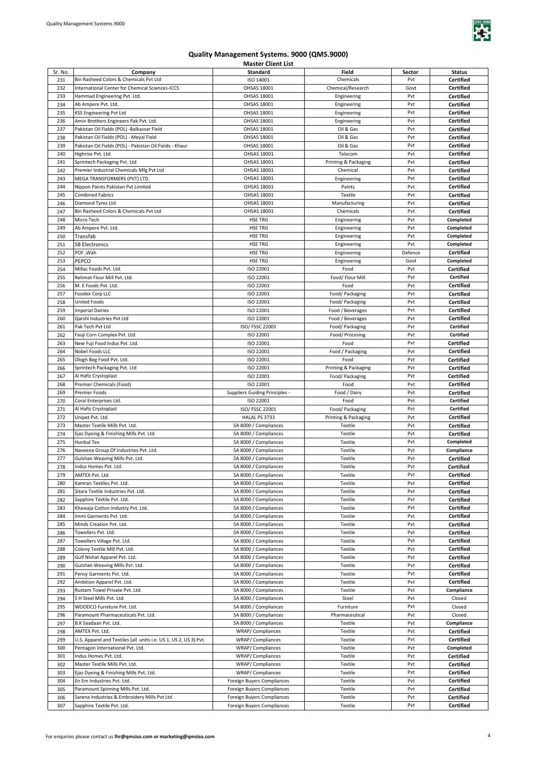

| Sr. No.    | Company                                                                    | Standard                                                 | Field                | Sector     | <b>Status</b>          |
|------------|----------------------------------------------------------------------------|----------------------------------------------------------|----------------------|------------|------------------------|
| 231        | Bin Rasheed Colors & Chemicals Pvt Ltd                                     | ISO 14001                                                | Chemicals            | Pvt        | <b>Certified</b>       |
|            |                                                                            |                                                          |                      |            |                        |
| 232        | International Center for Chemical Sciences-ICCS                            | OHSAS 18001                                              | Chemical/Research    | Govt       | Certified              |
| 233        | Hammad Engineering Pvt. Ltd.                                               | OHSAS 18001                                              | Engineering          | Pvt        | <b>Certified</b>       |
| 234        | Ab Ampere Pvt. Ltd.                                                        | OHSAS 18001                                              | Engineering          | Pvt        | Certified              |
| 235        | KSS Engineering Pvt Ltd                                                    | OHSAS 18001                                              | Engineering          | Pvt        | Certified              |
| 236        | Amin Brothers Engineers Pak Pvt. Ltd.                                      | OHSAS 18001                                              | Engineering          | Pvt        | Certified              |
| 237        | Pakistan Oil Fields (POL) -Balkassar Field                                 | OHSAS 18001                                              | Oil & Gas            | Pvt        | Certified              |
| 238        | Pakistan Oil Fields (POL) - Meyal Field                                    | OHSAS 18001                                              | Oil & Gas            | Pvt        | <b>Certified</b>       |
| 239        | Pakistan Oil Fields (POL) - Pakistan Oil Fields - Khaur                    | OHSAS 18001                                              | Oil & Gas            | Pvt        | <b>Certified</b>       |
|            |                                                                            |                                                          |                      | Pvt        |                        |
| 240        | Highrise Pvt. Ltd                                                          | OHSAS 18001                                              | Telecom              |            | <b>Certified</b>       |
| 241        | Sprintech Packaging Pvt. Ltd                                               | OHSAS 18001                                              | Printing & Packaging | Pvt        | <b>Certified</b>       |
| 242        | Premier Industrial Chemicals Mfg Pvt Ltd                                   | OHSAS 18001                                              | Chemical             | Pvt        | <b>Certified</b>       |
| 243        | MEGA TRANSFORMERS (PVT) LTD.                                               | OHSAS 18001                                              | Engineering          | Pvt        | <b>Certified</b>       |
| 244        | Nippon Paints Pakistan Pvt Limited                                         | OHSAS 18001                                              | Paints               | Pvt        | <b>Certified</b>       |
| 245        | <b>Combined Fabrics</b>                                                    | OHSAS 18001                                              | Textile              | Pvt        | <b>Certified</b>       |
| 246        | Diamond Tyres Ltd                                                          | OHSAS 18001                                              | Manufacturing        | Pvt        | <b>Certified</b>       |
| 247        | Bin Rasheed Colors & Chemicals Pvt Ltd                                     | OHSAS 18001                                              | Chemicals            | Pvt        | <b>Certified</b>       |
| 248        | Micro Tech                                                                 | <b>HSE TRG</b>                                           | Engineering          | Pvt        | Completed              |
| 249        | Ab Ampere Pvt. Ltd.                                                        | <b>HSE TRG</b>                                           | Engineering          | Pvt        | Completed              |
| 250        | Transfab                                                                   | <b>HSE TRG</b>                                           | Engineering          | Pvt        | Completed              |
|            |                                                                            | HSE TRG                                                  |                      | Pvt        |                        |
| 251        | <b>SB Electronics</b>                                                      |                                                          | Engineering          |            | Completed              |
| 252        | POF, Wah                                                                   | HSE TRG                                                  | Engineering          | Defence    | Certified              |
| 253        | PEPCO                                                                      | HSE TRG                                                  | Engineering          | Govt       | Completed              |
| 254        | Millac Foods Pvt. Ltd.                                                     | ISO 22001                                                | Food                 | Pvt        | Certified              |
| 255        | Rehmat Flour Mill Pvt. Ltd.                                                | ISO 22001                                                | Food/ Flour Mill     | Pvt        | <b>Certified</b>       |
| 256        | M. E Foods Pvt. Ltd.                                                       | ISO 22001                                                | Food                 | Pvt        | Certified              |
| 257        | Foodex Corp LLC                                                            | ISO 22001                                                | Food/ Packaging      | Pvt        | Certified              |
| 258        | <b>United Foods</b>                                                        | ISO 22001                                                | Food/ Packaging      | Pvt        | Certified              |
| 259        | <b>Imperial Dairies</b>                                                    | ISO 22001                                                | Food / Beverages     | Pvt        | Certified              |
| 260        | Qarshi Industries Pvt Ltd                                                  | ISO 22001                                                |                      | Pvt        | <b>Certified</b>       |
|            |                                                                            |                                                          | Food / Beverages     |            |                        |
| 261        | Pak Tech Pvt Ltd                                                           | ISO/ FSSC 22001                                          | Food/ Packaging      | Pvt        | <b>Certified</b>       |
| 262        | Fauji Corn Complex Pvt. Ltd.                                               | ISO 22001                                                | Food/ Procesing      | Pvt        | <b>Certified</b>       |
| 263        | New Fuji Food Indus Pvt. Ltd.                                              | ISO 22001                                                | Food                 | Pvt        | Certified              |
| 264        | Nobel Foods LLC                                                            | ISO 22001                                                | Food / Packaging     | Pvt        | <b>Certified</b>       |
| 265        | Ologh Beg Food Pvt. Ltd.                                                   | ISO 22001                                                | Food                 | Pvt        | <b>Certified</b>       |
| 266        | Sprintech Packaging Pvt. Ltd                                               | ISO 22001                                                | Printing & Packaging | Pvt        | <b>Certified</b>       |
| 267        | Al Hafiz Crystoplast                                                       | ISO 22001                                                | Food/ Packaging      | Pvt        | <b>Certified</b>       |
| 268        | Premier Chemicals (Food)                                                   | ISO 22001                                                | Food                 | Pvt        | <b>Certified</b>       |
|            |                                                                            |                                                          |                      |            |                        |
|            |                                                                            |                                                          |                      |            |                        |
| 269        | <b>Premier Foods</b>                                                       | <b>Suppliers Guiding Principles -</b>                    | Food / Dairy         | Pvt        | Certified              |
| 270        | Coral Enterprises Ltd.                                                     | ISO 22001                                                | Food                 | Pvt        | Certified              |
| 271        | Al Hafiz Crystoplast                                                       | ISO/ FSSC 22001                                          | Food/ Packaging      | Pvt        | <b>Certified</b>       |
| 272        | Unipet Pvt. Ltd.                                                           | HALAL PS 3733                                            | Printing & Packaging | Pvt        | <b>Certified</b>       |
| 273        | Master Textile Mills Pvt. Ltd.                                             | SA 8000 / Compliances                                    | Textile              | Pvt        | <b>Certified</b>       |
| 274        | Ejaz Dyeing & Finishing Mills Pvt. Ltd.                                    | SA 8000 / Compliances                                    | Textile              | Pvt        | Certified              |
| 275        | <b>Hunbul Tex</b>                                                          | SA 8000 / Compliances                                    | Textile              | Pvt        | Completed              |
| 276        | Naveena Group Of Industries Pvt. Ltd.                                      | SA 8000 / Compliances                                    | Textile              | Pvt        | Compliance             |
| 277        | Gulshan Weaving Mills Pvt. Ltd.                                            | SA 8000 / Compliances                                    | Textile              | Pvt        | <b>Certified</b>       |
| 278        | Indus Homes Pvt. Ltd.                                                      | SA 8000 / Compliances                                    | Textile              | Pvt        | <b>Certified</b>       |
| 279        | AMTEX Pvt. Ltd.                                                            | SA 8000 / Compliances                                    | Textile              | Pvt        | <b>Certified</b>       |
|            | Kamran Textiles Pvt. Ltd.                                                  |                                                          |                      |            |                        |
| 280        |                                                                            | SA 8000 / Compliances                                    | Textile              | Pvt        | <b>Certified</b>       |
| 281        | Sitara Textile Industries Pvt. Ltd.                                        | SA 8000 / Compliances                                    | Textile              | Pvt        | <b>Certified</b>       |
| 282        | Sapphire Textile Pvt. Ltd.                                                 | SA 8000 / Compliances                                    | Textile              | Pvt        | <b>Certified</b>       |
| 283        | Khawaja Cotton Industry Pvt. Ltd.                                          | SA 8000 / Compliances                                    | Textile              | Pvt        | <b>Certified</b>       |
| 284        | Immi Garments Pvt. Ltd.                                                    | SA 8000 / Compliances                                    | Textile              | Pvt        | Certified              |
| 285        | Minds Creation Pvt. Ltd.                                                   | SA 8000 / Compliances                                    | Textile              | Pvt        | <b>Certified</b>       |
| 286        | Towellers Pvt. Ltd.                                                        | SA 8000 / Compliances                                    | Textile              | Pvt        | <b>Certified</b>       |
| 287        | Towellers Village Pvt. Ltd.                                                | SA 8000 / Compliances                                    | Textile              | Pvt        | <b>Certified</b>       |
| 288        | Colony Textile Mill Pvt. Ltd.                                              | SA 8000 / Compliances                                    | Textile              | Pvt        | <b>Certified</b>       |
| 289        | Gulf Nishat Apparel Pvt. Ltd.                                              | SA 8000 / Compliances                                    | Textile              | Pvt        | <b>Certified</b>       |
|            | Gulshan Weaving Mills Pvt. Ltd.                                            | SA 8000 / Compliances                                    |                      | Pvt        |                        |
| 290        |                                                                            | SA 8000 / Compliances                                    | Textile              |            | <b>Certified</b>       |
| 291        | Pensy Garments Pvt. Ltd.                                                   |                                                          | Textile              | Pvt        | <b>Certified</b>       |
| 292        | Ambition Apparel Pvt. Ltd.                                                 | SA 8000 / Compliances                                    | Textile              | Pvt        | <b>Certified</b>       |
| 293        | Rustam Towel Private Pvt. Ltd.                                             | SA 8000 / Compliances                                    | Textile              | Pvt        | Compliance             |
| 294        | S H Steel Mills Pvt. Ltd.                                                  | SA 8000 / Compliances                                    | Steel                | Pvt        | Closed                 |
| 295        | WOODCO Furniture Pvt. Ltd.                                                 | SA 8000 / Compliances                                    | Furniture            | Pvt        | Closed                 |
| 296        | Paramount Pharmaceuticals Pvt. Ltd.                                        | SA 8000 / Compliances                                    | Pharmaceutical       | Pvt        | Closed                 |
| 297        | B.K Saadaan Pvt. Ltd.                                                      | SA 8000 / Compliances                                    | Textile              | Pvt        | Compliance             |
| 298        | AMTEX Pvt. Ltd.                                                            | <b>WRAP/Compliances</b>                                  | Textile              | Pvt        | <b>Certified</b>       |
| 299        | U.S. Apparel and Textiles (all units i.e. US 1, US 2, US 3) Pvt.           | <b>WRAP/Compliances</b>                                  | Textile              | Pvt        | <b>Certified</b>       |
| 300        | Pentagon International Pvt. Ltd.                                           | <b>WRAP/Compliances</b>                                  | Textile              | Pvt        | Completed              |
| 301        | Indus Homes Pvt. Ltd.                                                      | <b>WRAP/Compliances</b>                                  | Textile              | Pvt        | <b>Certified</b>       |
|            |                                                                            |                                                          |                      | Pvt        |                        |
| 302        | Master Textile Mills Pvt. Ltd.                                             | <b>WRAP/Compliances</b>                                  | Textile              |            | <b>Certified</b>       |
| 303        | Ejaz Dyeing & Finishing Mills Pvt. Ltd.                                    | <b>WRAP/Compliances</b>                                  | Textile              | Pvt        | <b>Certified</b>       |
| 304        | En Em Industries Pvt. Ltd.                                                 | Foreign Buyers Compliances                               | Textile              | Pvt        | <b>Certified</b>       |
| 305        | Paramount Spinning Mills Pvt. Ltd.                                         | Foreign Buyers Compliances                               | Textile              | Pvt        | <b>Certified</b>       |
| 306<br>307 | Sarena Industries & Embroidery Mills Pvt Ltd<br>Sapphire Textile Pvt. Ltd. | Foreign Buyers Compliances<br>Foreign Buyers Compliances | Textile<br>Textile   | Pvt<br>Pvt | Certified<br>Certified |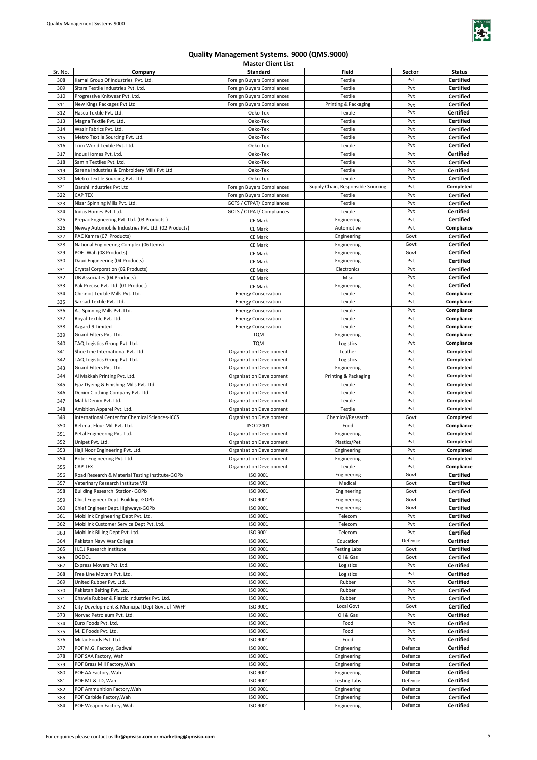

| Sr. No. | Company                                             | <b>Standard</b>                 | Field                              | Sector  | <b>Status</b>    |
|---------|-----------------------------------------------------|---------------------------------|------------------------------------|---------|------------------|
| 308     | Kamal Group Of Industries Pvt. Ltd.                 | Foreign Buyers Compliances      | Textile                            | Pvt     | <b>Certified</b> |
| 309     | Sitara Textile Industries Pvt. Ltd.                 |                                 | Textile                            | Pvt     | <b>Certified</b> |
|         |                                                     | Foreign Buyers Compliances      |                                    |         |                  |
| 310     | Progressive Knitwear Pvt. Ltd.                      | Foreign Buyers Compliances      | Textile                            | Pvt     | <b>Certified</b> |
| 311     | New Kings Packages Pvt Ltd                          | Foreign Buyers Compliances      | Printing & Packaging               | Pvt     | <b>Certified</b> |
| 312     | Hasco Textile Pvt. Ltd.                             | Oeko-Tex                        | Textile                            | Pvt     | <b>Certified</b> |
| 313     | Magna Textile Pvt. Ltd.                             | Oeko-Tex                        | Textile                            | Pvt     | <b>Certified</b> |
|         |                                                     |                                 |                                    |         |                  |
| 314     | Wazir Fabrics Pvt. Ltd.                             | Oeko-Tex                        | Textile                            | Pvt     | <b>Certified</b> |
| 315     | Metro Textile Sourcing Pvt. Ltd.                    | Oeko-Tex                        | Textile                            | Pvt     | <b>Certified</b> |
| 316     | Trim World Textile Pvt. Ltd.                        | Oeko-Tex                        | Textile                            | Pvt     | Certified        |
| 317     | Indus Homes Pvt. Ltd.                               | Oeko-Tex                        | Textile                            | Pvt     | <b>Certified</b> |
|         |                                                     |                                 |                                    |         |                  |
| 318     | Samin Textiles Pvt. Ltd.                            | Oeko-Tex                        | Textile                            | Pvt     | Certified        |
| 319     | Sarena Industries & Embroidery Mills Pvt Ltd        | Oeko-Tex                        | Textile                            | Pvt     | Certified        |
| 320     | Metro Textile Sourcing Pvt. Ltd.                    | Oeko-Tex                        | Textile                            | Pvt     | <b>Certified</b> |
| 321     | Qarshi Industries Pvt Ltd                           | Foreign Buyers Compliances      | Supply Chain, Responsible Sourcing | Pvt     | Completed        |
| 322     | <b>CAP TEX</b>                                      |                                 |                                    | Pvt     |                  |
|         |                                                     | Foreign Buyers Compliances      | Textile                            |         | <b>Certified</b> |
| 323     | Nisar Spinning Mills Pvt. Ltd.                      | GOTS / CTPAT/ Compliances       | Textile                            | Pvt     | Certified        |
| 324     | Indus Homes Pvt. Ltd.                               | GOTS / CTPAT/ Compliances       | Textile                            | Pvt     | Certified        |
| 325     | Prepac Engineering Pvt. Ltd. (03 Products)          | <b>CE Mark</b>                  | Engineering                        | Pvt     | Certified        |
| 326     | Neway Automobile Industries Pvt. Ltd. (02 Products) |                                 | Automotive                         | Pvt     | Compliance       |
|         |                                                     | CE Mark                         |                                    |         |                  |
| 327     | PAC Kamra (07 Products)                             | <b>CE Mark</b>                  | Engineering                        | Govt    | <b>Certified</b> |
| 328     | National Engineering Complex (06 Items)             | CE Mark                         | Engineering                        | Govt    | <b>Certified</b> |
| 329     | POF -Wah (08 Products)                              | <b>CE Mark</b>                  | Engineering                        | Govt    | Certified        |
| 330     | Daud Engineering (04 Products)                      |                                 | Engineering                        | Pvt     | <b>Certified</b> |
|         |                                                     | <b>CE Mark</b>                  |                                    |         |                  |
| 331     | Crystal Corporation (02 Products)                   | CE Mark                         | Electronics                        | Pvt     | <b>Certified</b> |
| 332     | UB Associates (04 Products)                         | CE Mark                         | Misc                               | Pvt     | <b>Certified</b> |
| 333     | Pak Precise Pvt. Ltd (01 Product)                   | CE Mark                         | Engineering                        | Pvt     | <b>Certified</b> |
| 334     | Chinniot Tex tile Mills Pvt. Ltd.                   | <b>Energy Conservation</b>      | Textile                            | Pvt     | Compliance       |
|         |                                                     |                                 |                                    |         |                  |
| 335     | Sarhad Textile Pvt. Ltd.                            | <b>Energy Conservation</b>      | Textile                            | Pvt     | Compliance       |
| 336     | A.J Spinning Mills Pvt. Ltd.                        | <b>Energy Conservation</b>      | Textile                            | Pvt     | Compliance       |
| 337     | Royal Textile Pvt. Ltd.                             | <b>Energy Conservation</b>      | Textile                            | Pvt     | Compliance       |
| 338     | Azgard-9 Limited                                    | <b>Energy Conservation</b>      | Textile                            | Pvt     | Compliance       |
|         |                                                     |                                 |                                    |         |                  |
| 339     | Guard Filters Pvt. Ltd.                             | <b>TQM</b>                      | Engineering                        | Pvt     | Compliance       |
| 340     | TAQ Logistics Group Pvt. Ltd.                       | <b>TQM</b>                      | Logistics                          | Pvt     | Compliance       |
| 341     | Shoe Line International Pvt. Ltd.                   | Organization Development        | Leather                            | Pvt     | Completed        |
| 342     | TAQ Logistics Group Pvt. Ltd.                       | Organization Development        | Logistics                          | Pvt     | Completed        |
|         |                                                     |                                 |                                    | Pvt     |                  |
| 343     | Guard Filters Pvt. Ltd.                             | <b>Organization Development</b> | Engineering                        |         | Completed        |
| 344     | Al Makkah Printing Pvt. Ltd.                        | Organization Development        | Printing & Packaging               | Pvt     | Completed        |
| 345     | Ejaz Dyeing & Finishing Mills Pvt. Ltd.             | <b>Organization Development</b> | Textile                            | Pvt     | Completed        |
| 346     | Denim Clothing Company Pvt. Ltd.                    | Organization Development        | Textile                            | Pvt     | Completed        |
| 347     | Malik Denim Pvt. Ltd.                               | <b>Organization Development</b> | Textile                            | Pvt     | Completed        |
|         |                                                     |                                 |                                    |         |                  |
| 348     | Ambition Apparel Pvt. Ltd.                          | <b>Organization Development</b> | Textile                            | Pvt     | Completed        |
| 349     | International Center for Chemical Sciences-ICCS     | Organization Development        | Chemical/Research                  | Govt    | Completed        |
| 350     | Rehmat Flour Mill Pvt. Ltd.                         | ISO 22001                       | Food                               | Pvt     | Compliance       |
| 351     | Petal Engineering Pvt. Ltd.                         | Organization Development        | Engineering                        | Pvt     | Completed        |
|         |                                                     |                                 |                                    |         |                  |
| 352     | Unipet Pvt. Ltd.                                    | Organization Development        | Plastics/Pet                       | Pvt     | Completed        |
| 353     | Haji Noor Engineering Pvt. Ltd.                     | <b>Organization Development</b> | Engineering                        | Pvt     | Completed        |
| 354     | Briter Engineering Pvt. Ltd.                        | <b>Organization Development</b> | Engineering                        | Pvt     | Completed        |
| 355     | <b>CAP TEX</b>                                      | <b>Organization Development</b> | Textile                            | Pvt     | Compliance       |
|         |                                                     |                                 |                                    |         |                  |
| 356     | Road Research & Material Testing Institute-GOPb     | ISO 9001                        | Engineering                        | Govt    | Certified        |
| 357     | Veterinary Research Institute VRI                   | ISO 9001                        | Medical                            | Govt    | Certified        |
| 358     | Building Research Station- GOPb                     | ISO 9001                        | Engineering                        | Govt    | Certified        |
| 359     | Chief Engineer Dept. Building- GOPb                 | ISO 9001                        | Engineering                        | Govt    | <b>Certified</b> |
|         | Chief Engineer Dept.Highways-GOPb                   |                                 | Engineering                        |         | <b>Certified</b> |
| 360     |                                                     | ISO 9001                        |                                    | Govt    |                  |
| 361     | Mobilink Engineering Dept Pvt. Ltd.                 | ISO 9001                        | Telecom                            | Pvt     | Certified        |
| 362     | Mobilink Customer Service Dept Pvt. Ltd.            | ISO 9001                        | Telecom                            | Pvt     | Certified        |
| 363     | Mobilink Billing Dept Pvt. Ltd.                     | ISO 9001                        | Telecom                            | Pvt     | Certified        |
| 364     | Pakistan Navy War College                           | ISO 9001                        | Education                          | Defence | <b>Certified</b> |
|         |                                                     |                                 |                                    |         |                  |
| 365     | H.E.J Research Institute                            | ISO 9001                        | <b>Testing Labs</b>                | Govt    | <b>Certified</b> |
| 366     | OGDCL                                               | ISO 9001                        | Oil & Gas                          | Govt    | <b>Certified</b> |
| 367     | Express Movers Pvt. Ltd.                            | ISO 9001                        | Logistics                          | Pvt     | <b>Certified</b> |
| 368     | Free Line Movers Pvt. Ltd.                          | ISO 9001                        | Logistics                          | Pvt     | <b>Certified</b> |
|         | United Rubber Pvt. Ltd.                             | ISO 9001                        | Rubber                             | Pvt     |                  |
| 369     |                                                     |                                 |                                    |         | <b>Certified</b> |
| 370     | Pakistan Belting Pvt. Ltd.                          | ISO 9001                        | Rubber                             | Pvt     | Certified        |
| 371     | Chawla Rubber & Plastic Industries Pvt. Ltd.        | ISO 9001                        | Rubber                             | Pvt     | Certified        |
| 372     | City Development & Municipal Dept Govt of NWFP      | ISO 9001                        | Local Govt                         | Govt    | Certified        |
| 373     | Norvac Petroleum Pvt. Ltd.                          | ISO 9001                        | Oil & Gas                          | Pvt     | <b>Certified</b> |
|         |                                                     |                                 |                                    |         |                  |
| 374     | Euro Foods Pvt. Ltd.                                | ISO 9001                        | Food                               | Pvt     | <b>Certified</b> |
| 375     | M. E Foods Pvt. Ltd.                                | ISO 9001                        | Food                               | Pvt     | <b>Certified</b> |
| 376     | Millac Foods Pvt. Ltd.                              | ISO 9001                        | Food                               | Pvt     | <b>Certified</b> |
| 377     | POF M.G. Factory, Gadwal                            | ISO 9001                        | Engineering                        | Defence | <b>Certified</b> |
|         |                                                     |                                 |                                    |         |                  |
| 378     | POF SAA Factory, Wah                                | ISO 9001                        | Engineering                        | Defence | Certified        |
| 379     | POF Brass Mill Factory, Wah                         | ISO 9001                        | Engineering                        | Defence | Certified        |
| 380     | POF AA Factory, Wah                                 | ISO 9001                        | Engineering                        | Defence | <b>Certified</b> |
| 381     | POF ML & TD, Wah                                    | ISO 9001                        | <b>Testing Labs</b>                | Defence | <b>Certified</b> |
|         |                                                     |                                 |                                    | Defence |                  |
| 382     | POF Ammunition Factory, Wah                         | ISO 9001                        | Engineering                        |         | <b>Certified</b> |
| 383     | POF Carbide Factory, Wah                            | ISO 9001                        | Engineering                        | Defence | <b>Certified</b> |
| 384     | POF Weapon Factory, Wah                             | ISO 9001                        | Engineering                        | Defence | <b>Certified</b> |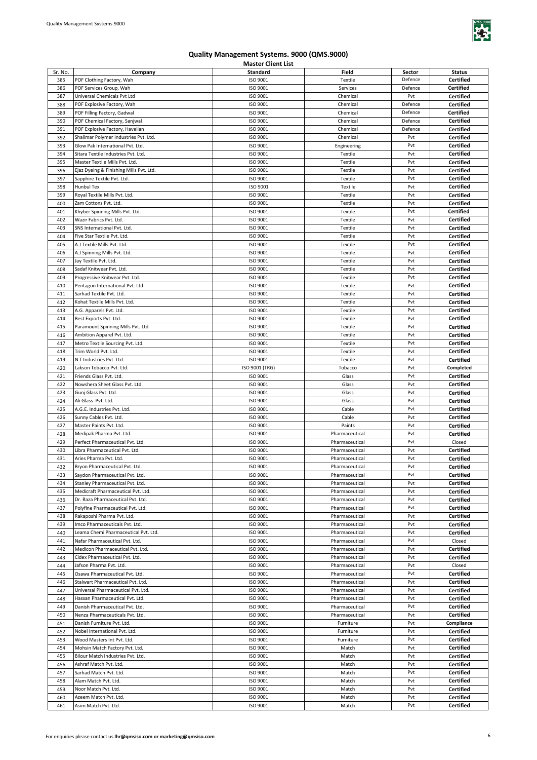

| Sr. No. | Company                                 | Standard       | <b>Field</b>   | Sector  | <b>Status</b>    |
|---------|-----------------------------------------|----------------|----------------|---------|------------------|
|         | POF Clothing Factory, Wah               | ISO 9001       | Textile        | Defence |                  |
| 385     |                                         |                |                |         | Certified        |
| 386     | POF Services Group, Wah                 | ISO 9001       | Services       | Defence | <b>Certified</b> |
| 387     | Universal Chemicals Pvt Ltd             | ISO 9001       | Chemical       | Pvt     | Certified        |
| 388     | POF Explosive Factory, Wah              | ISO 9001       | Chemical       | Defence | Certified        |
| 389     | POF Filling Factory, Gadwal             | ISO 9001       | Chemical       | Defence | <b>Certified</b> |
|         |                                         |                |                |         |                  |
| 390     | POF Chemical Factory, Sanjwal           | ISO 9001       | Chemical       | Defence | Certified        |
| 391     | POF Explosive Factory, Havelian         | ISO 9001       | Chemical       | Defence | Certified        |
| 392     | Shalimar Polymer Industries Pvt. Ltd.   | ISO 9001       | Chemical       | Pvt     | Certified        |
| 393     | Glow Pak International Pvt. Ltd.        | ISO 9001       | Engineering    | Pvt     | Certified        |
|         |                                         |                |                |         |                  |
| 394     | Sitara Textile Industries Pvt. Ltd.     | ISO 9001       | Textile        | Pvt     | Certified        |
| 395     | Master Textile Mills Pvt. Ltd.          | ISO 9001       | Textile        | Pvt     | Certified        |
| 396     | Ejaz Dyeing & Finishing Mills Pvt. Ltd. | ISO 9001       | Textile        | Pvt     | <b>Certified</b> |
| 397     | Sapphire Textile Pvt. Ltd.              | ISO 9001       | Textile        | Pvt     | <b>Certified</b> |
|         | <b>Hunbul Tex</b>                       | ISO 9001       |                | Pvt     |                  |
| 398     |                                         |                | Textile        |         | <b>Certified</b> |
| 399     | Royal Textile Mills Pvt. Ltd.           | ISO 9001       | Textile        | Pvt     | <b>Certified</b> |
| 400     | Zam Cottons Pvt. Ltd.                   | ISO 9001       | Textile        | Pvt     | <b>Certified</b> |
| 401     | Khyber Spinning Mills Pvt. Ltd.         | ISO 9001       | Textile        | Pvt     | <b>Certified</b> |
| 402     | Wazir Fabrics Pvt. Ltd.                 | ISO 9001       | Textile        | Pvt     | Certified        |
|         |                                         |                |                |         |                  |
| 403     | SNS International Pvt. Ltd.             | ISO 9001       | Textile        | Pvt     | <b>Certified</b> |
| 404     | Five Star Textile Pvt. Ltd.             | ISO 9001       | Textile        | Pvt     | <b>Certified</b> |
| 405     | A.J Textile Mills Pvt. Ltd.             | ISO 9001       | Textile        | Pvt     | <b>Certified</b> |
| 406     | A.J Spinning Mills Pvt. Ltd.            | ISO 9001       | Textile        | Pvt     | <b>Certified</b> |
| 407     | Jay Textile Pvt. Ltd.                   | ISO 9001       | Textile        | Pvt     | <b>Certified</b> |
|         |                                         |                |                |         |                  |
| 408     | Sadaf Knitwear Pvt. Ltd.                | ISO 9001       | Textile        | Pvt     | Certified        |
| 409     | Progressive Knitwear Pvt. Ltd.          | ISO 9001       | Textile        | Pvt     | <b>Certified</b> |
| 410     | Pentagon International Pvt. Ltd.        | ISO 9001       | Textile        | Pvt     | Certified        |
| 411     | Sarhad Textile Pvt. Ltd.                | ISO 9001       | Textile        | Pvt     | Certified        |
|         |                                         |                |                |         |                  |
| 412     | Kohat Textile Mills Pvt. Ltd.           | ISO 9001       | Textile        | Pvt     | Certified        |
| 413     | A.G. Apparels Pvt. Ltd.                 | ISO 9001       | Textile        | Pvt     | Certified        |
| 414     | Best Exports Pvt. Ltd.                  | ISO 9001       | Textile        | Pvt     | Certified        |
| 415     | Paramount Spinning Mills Pvt. Ltd.      | ISO 9001       | Textile        | Pvt     | Certified        |
|         |                                         |                |                | Pvt     |                  |
| 416     | Ambition Apparel Pvt. Ltd.              | ISO 9001       | Textile        |         | Certified        |
| 417     | Metro Textile Sourcing Pvt. Ltd.        | ISO 9001       | Textile        | Pvt     | Certified        |
| 418     | Trim World Pvt. Ltd.                    | ISO 9001       | Textile        | Pvt     | <b>Certified</b> |
| 419     | N T Industries Pvt. Ltd.                | ISO 9001       | Textile        | Pvt     | <b>Certified</b> |
| 420     | Lakson Tobacco Pvt. Ltd.                | ISO 9001 (TRG) | Tobacco        | Pvt     | Completed        |
|         |                                         |                |                |         |                  |
| 421     | Friends Glass Pvt. Ltd.                 | ISO 9001       | Glass          | Pvt     | Certified        |
| 422     | Nowshera Sheet Glass Pvt. Ltd.          | ISO 9001       | Glass          | Pvt     | <b>Certified</b> |
| 423     | Gunj Glass Pvt. Ltd.                    | ISO 9001       | Glass          | Pvt     | <b>Certified</b> |
| 424     | Ali Glass Pvt. Ltd.                     | ISO 9001       | Glass          | Pvt     | <b>Certified</b> |
|         |                                         |                |                |         |                  |
| 425     | A.G.E. Industries Pvt. Ltd.             | ISO 9001       | Cable          | Pvt     | <b>Certified</b> |
| 426     | Sunny Cables Pvt. Ltd.                  | ISO 9001       | Cable          | Pvt     | <b>Certified</b> |
| 427     | Master Paints Pvt. Ltd.                 | ISO 9001       | Paints         | Pvt     | <b>Certified</b> |
| 428     | Medipak Pharma Pvt. Ltd.                | ISO 9001       | Pharmaceutical | Pvt     | <b>Certified</b> |
| 429     | Perfect Pharmaceutical Pvt. Ltd.        | ISO 9001       | Pharmaceutical | Pvt     | Closed           |
|         |                                         |                |                |         |                  |
| 430     | Libra Pharmaceutical Pvt. Ltd.          | ISO 9001       | Pharmaceutical | Pvt     | Certified        |
| 431     | Aries Pharma Pvt. Ltd.                  | ISO 9001       | Pharmaceutical | Pvt     | <b>Certified</b> |
| 432     | Bryon Pharmaceutical Pvt. Ltd.          | ISO 9001       | Pharmaceutical | Pvt     | Certified        |
| 433     | Saydon Pharmaceutical Pvt. Ltd.         | ISO 9001       | Pharmaceutical | Pvt     | Certified        |
| 434     | Stanley Pharmaceutical Pvt. Ltd.        | ISO 9001       | Pharmaceutical | Pvt     | <b>Certified</b> |
|         |                                         |                |                |         |                  |
| 435     | Medicraft Pharmaceutical Pvt. Ltd.      | ISO 9001       | Pharmaceutical | Pvt     | Certified        |
| 436     | Dr. Raza Pharmaceutical Pvt. Ltd.       | ISO 9001       | Pharmaceutical | Pvt     | Certified        |
| 437     | Polyfine Pharmaceutical Pvt. Ltd.       | ISO 9001       | Pharmaceutical | Pvt     | Certified        |
| 438     | Rakaposhi Pharma Pvt. Ltd.              | ISO 9001       | Pharmaceutical | Pvt     | Certified        |
|         |                                         |                |                |         |                  |
| 439     | Imco Pharmaceuticals Pvt. Ltd.          | ISO 9001       | Pharmaceutical | Pvt     | <b>Certified</b> |
| 440     | Leama Chemi Pharmaceutical Pvt. Ltd.    | ISO 9001       | Pharmaceutical | Pvt     | Certified        |
| 441     | Nafar Pharmaceutical Pvt. Ltd.          | ISO 9001       | Pharmaceutical | Pvt     | Closed           |
| 442     | Medicon Pharmaceutical Pvt. Ltd.        | ISO 9001       | Pharmaceutical | Pvt     | Certified        |
| 443     | Cidex Pharmaceutical Pvt. Ltd.          | ISO 9001       | Pharmaceutical | Pvt     | Certified        |
|         |                                         |                |                |         |                  |
| 444     | Jafson Pharma Pvt. Ltd.                 | ISO 9001       | Pharmaceutical | Pvt     | Closed           |
| 445     | Osawa Pharmaceutical Pvt. Ltd.          | ISO 9001       | Pharmaceutical | Pvt     | Certified        |
| 446     | Stalwart Pharmaceutical Pvt. Ltd.       | ISO 9001       | Pharmaceutical | Pvt     | Certified        |
| 447     | Universal Pharmaceutical Pvt. Ltd.      | ISO 9001       | Pharmaceutical | Pvt     | <b>Certified</b> |
| 448     | Hassan Pharmaceutical Pvt. Ltd.         | ISO 9001       | Pharmaceutical | Pvt     | <b>Certified</b> |
|         |                                         |                |                |         |                  |
| 449     | Danish Pharmaceutical Pvt. Ltd.         | ISO 9001       | Pharmaceutical | Pvt     | Certified        |
| 450     | Nenza Pharmaceuticals Pvt. Ltd.         | ISO 9001       | Pharmaceutical | Pvt     | <b>Certified</b> |
| 451     | Danish Furniture Pvt. Ltd.              | ISO 9001       | Furniture      | Pvt     | Compliance       |
| 452     | Nobel International Pvt. Ltd.           | ISO 9001       | Furniture      | Pvt     | <b>Certified</b> |
|         |                                         |                |                |         |                  |
| 453     | Wood Masters Int Pvt. Ltd.              | ISO 9001       | Furniture      | Pvt     | Certified        |
| 454     | Mohsin Match Factory Pvt. Ltd.          | ISO 9001       | Match          | Pvt     | Certified        |
| 455     | Bilour Match Industries Pvt. Ltd.       | ISO 9001       | Match          | Pvt     | Certified        |
| 456     | Ashraf Match Pvt. Ltd.                  | ISO 9001       | Match          | Pvt     | Certified        |
| 457     | Sarhad Match Pvt. Ltd.                  | ISO 9001       | Match          | Pvt     | Certified        |
|         |                                         |                |                |         |                  |
| 458     | Alam Match Pvt. Ltd.                    | ISO 9001       | Match          | Pvt     | Certified        |
| 459     | Noor Match Pvt. Ltd.                    | ISO 9001       | Match          | Pvt     | Certified        |
| 460     | Azeem Match Pvt. Ltd.                   | ISO 9001       | Match          | Pvt     | Certified        |
| 461     | Asim Match Pvt. Ltd.                    | ISO 9001       | Match          | Pvt     | Certified        |
|         |                                         |                |                |         |                  |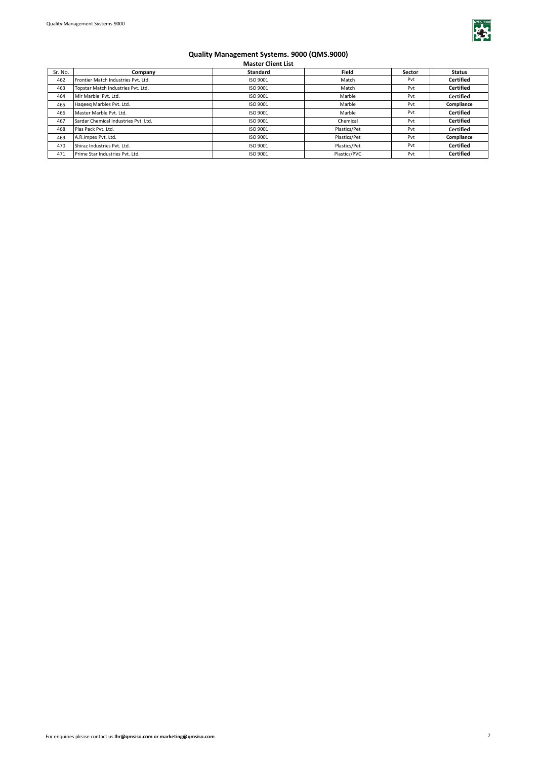

| Sr. No. | Company                              | Standard | <b>Field</b> | Sector | <b>Status</b>    |
|---------|--------------------------------------|----------|--------------|--------|------------------|
|         |                                      |          |              |        |                  |
| 462     | Frontier Match Industries Pvt. Ltd.  | ISO 9001 | Match        | Pvt    | <b>Certified</b> |
| 463     | Topstar Match Industries Pvt. Ltd.   | ISO 9001 | Match        | Pvt    | <b>Certified</b> |
| 464     | Mir Marble Pvt. Ltd.                 | ISO 9001 | Marble       | Pvt    | <b>Certified</b> |
| 465     | Hageeg Marbles Pvt. Ltd.             | ISO 9001 | Marble       | Pvt    | Compliance       |
| 466     | Master Marble Pvt. Ltd.              | ISO 9001 | Marble       | Pvt    | <b>Certified</b> |
| 467     | Sardar Chemical Industries Pvt. Ltd. | ISO 9001 | Chemical     | Pvt    | <b>Certified</b> |
| 468     | Plas Pack Pvt. Ltd.                  | ISO 9001 | Plastics/Pet | Pvt    | <b>Certified</b> |
| 469     | A.R.Impex Pvt. Ltd.                  | ISO 9001 | Plastics/Pet | Pvt    | Compliance       |
| 470     | Shiraz Industries Pvt. Ltd.          | ISO 9001 | Plastics/Pet | Pvt    | <b>Certified</b> |
| 471     | Prime Star Industries Pvt. Ltd.      | ISO 9001 | Plastics/PVC | Pvt    | <b>Certified</b> |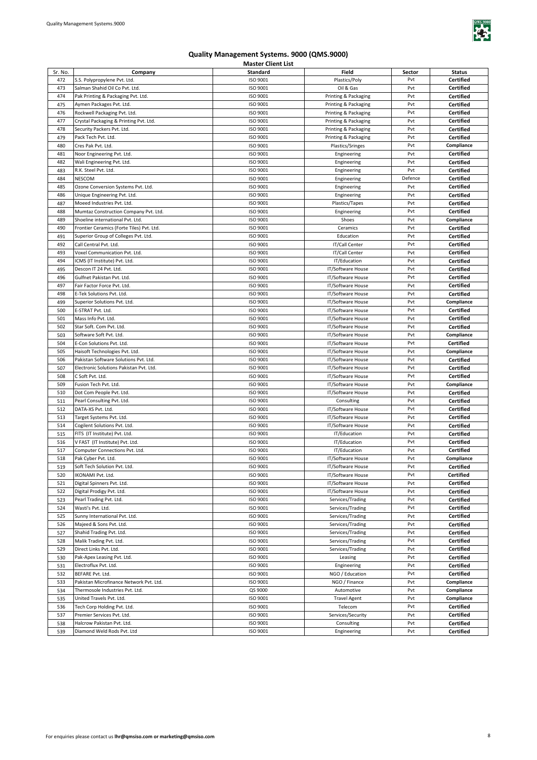

| Sr. No. | Company                                   | <b>Standard</b> | <b>Field</b>         | Sector  | <b>Status</b>    |
|---------|-------------------------------------------|-----------------|----------------------|---------|------------------|
| 472     | S.S. Polypropylene Pvt. Ltd.              | ISO 9001        | Plastics/Poly        | Pvt     | <b>Certified</b> |
| 473     | Salman Shahid Oil Co Pvt. Ltd.            | ISO 9001        | Oil & Gas            | Pvt     | <b>Certified</b> |
| 474     | Pak Printing & Packaging Pvt. Ltd.        | ISO 9001        | Printing & Packaging | Pvt     | <b>Certified</b> |
| 475     | Aymen Packages Pvt. Ltd.                  | ISO 9001        | Printing & Packaging | Pvt     | <b>Certified</b> |
|         |                                           | ISO 9001        |                      | Pvt     |                  |
| 476     | Rockwell Packaging Pvt. Ltd.              |                 | Printing & Packaging |         | <b>Certified</b> |
| 477     | Crystal Packaging & Printing Pvt. Ltd.    | ISO 9001        | Printing & Packaging | Pvt     | <b>Certified</b> |
| 478     | Security Packers Pvt. Ltd.                | ISO 9001        | Printing & Packaging | Pvt     | <b>Certified</b> |
| 479     | Pack Tech Pvt. Ltd.                       | ISO 9001        | Printing & Packaging | Pvt     | <b>Certified</b> |
| 480     | Cres Pak Pvt. Ltd.                        | ISO 9001        | Plastics/Sringes     | Pvt     | Compliance       |
| 481     | Noor Engineering Pvt. Ltd.                | ISO 9001        | Engineering          | Pvt     | Certified        |
| 482     | Wali Engineering Pvt. Ltd.                | ISO 9001        | Engineering          | Pvt     | <b>Certified</b> |
| 483     | R.K. Steel Pvt. Ltd.                      | ISO 9001        | Engineering          | Pvt     | <b>Certified</b> |
| 484     | <b>NESCOM</b>                             | ISO 9001        | Engineering          | Defence | Certified        |
| 485     | Ozone Conversion Systems Pvt. Ltd.        | ISO 9001        | Engineering          | Pvt     | <b>Certified</b> |
| 486     | Unique Engineering Pvt. Ltd.              | ISO 9001        | Engineering          | Pvt     | <b>Certified</b> |
| 487     | Moeed Industries Pvt. Ltd.                | ISO 9001        | Plastics/Tapes       | Pvt     | <b>Certified</b> |
|         | Mumtaz Construction Company Pvt. Ltd.     | ISO 9001        | Engineering          | Pvt     | <b>Certified</b> |
| 488     |                                           |                 |                      | Pvt     |                  |
| 489     | Shoeline international Pvt. Ltd.          | ISO 9001        | Shoes                |         | Compliance       |
| 490     | Frontier Ceramics (Forte Tiles) Pvt. Ltd. | ISO 9001        | Ceramics             | Pvt     | <b>Certified</b> |
| 491     | Superior Group of Colleges Pvt. Ltd.      | ISO 9001        | Education            | Pvt     | <b>Certified</b> |
| 492     | Call Central Pvt. Ltd.                    | ISO 9001        | IT/Call Center       | Pvt     | <b>Certified</b> |
| 493     | Voxel Communication Pvt. Ltd.             | ISO 9001        | IT/Call Center       | Pvt     | <b>Certified</b> |
| 494     | ICMS (IT Institute) Pvt. Ltd.             | ISO 9001        | IT/Education         | Pvt     | <b>Certified</b> |
| 495     | Descon IT 24 Pvt. Ltd.                    | ISO 9001        | IT/Software House    | Pvt     | <b>Certified</b> |
| 496     | Gulfnet Pakistan Pvt. Ltd.                | ISO 9001        | IT/Software House    | Pvt     | <b>Certified</b> |
| 497     | Fair Factor Force Pvt. Ltd.               | ISO 9001        | IT/Software House    | Pvt     | <b>Certified</b> |
| 498     | E-Tek Solutions Pvt. Ltd.                 | ISO 9001        | IT/Software House    | Pvt     | <b>Certified</b> |
| 499     | Superior Solutions Pvt. Ltd.              | ISO 9001        | IT/Software House    | Pvt     | Compliance       |
| 500     | E-STRAT Pvt. Ltd.                         | ISO 9001        | IT/Software House    | Pvt     | Certified        |
|         |                                           |                 |                      | Pvt     |                  |
| 501     | Mass Info Pvt. Ltd.                       | ISO 9001        | IT/Software House    |         | Certified        |
| 502     | Star Soft. Com Pvt. Ltd.                  | ISO 9001        | IT/Software House    | Pvt     | Certified        |
| 503     | Software Soft Pvt. Ltd.                   | ISO 9001        | IT/Software House    | Pvt     | Compliance       |
| 504     | E-Con Solutions Pvt. Ltd.                 | ISO 9001        | IT/Software House    | Pvt     | <b>Certified</b> |
| 505     | Haisoft Technologies Pvt. Ltd.            | ISO 9001        | IT/Software House    | Pvt     | Compliance       |
| 506     | Pakistan Software Solutions Pvt. Ltd.     | ISO 9001        | IT/Software House    | Pvt     | Certified        |
| 507     | Electronic Solutions Pakistan Pvt. Ltd.   | ISO 9001        | IT/Software House    | Pvt     | Certified        |
| 508     | C Soft Pvt. Ltd.                          | ISO 9001        | IT/Software House    | Pvt     | Certified        |
| 509     | Fusion Tech Pvt. Ltd.                     | ISO 9001        | IT/Software House    | Pvt     | Compliance       |
| 510     | Dot Com People Pvt. Ltd.                  | ISO 9001        | IT/Software House    | Pvt     | Certified        |
| 511     | Pearl Consulting Pvt. Ltd.                | ISO 9001        | Consulting           | Pvt     | <b>Certified</b> |
|         | DATA-XS Pvt. Ltd.                         | ISO 9001        | IT/Software House    | Pvt     | <b>Certified</b> |
| 512     |                                           |                 |                      | Pvt     |                  |
| 513     | Target Systems Pvt. Ltd.                  | ISO 9001        | IT/Software House    |         | <b>Certified</b> |
| 514     | Cogilent Solutions Pvt. Ltd.              | ISO 9001        | IT/Software House    | Pvt     | <b>Certified</b> |
| 515     | FITS (IT Institute) Pvt. Ltd.             | ISO 9001        | IT/Education         | Pvt     | <b>Certified</b> |
| 516     | V FAST (IT Institute) Pvt. Ltd.           | ISO 9001        | IT/Education         | Pvt     | <b>Certified</b> |
| 517     | Computer Connections Pvt. Ltd.            | ISO 9001        | IT/Education         | Pvt     | <b>Certified</b> |
| 518     | Pak Cyber Pvt. Ltd.                       | ISO 9001        | IT/Software House    | Pvt     | Compliance       |
| 519     | Soft Tech Solution Pvt. Ltd.              | ISO 9001        | IT/Software House    | Pvt     | <b>Certified</b> |
| 520     | IKONAMI Pvt. Ltd.                         | ISO 9001        | IT/Software House    | Pvt     | Certified        |
| 521     | Digital Spinners Pvt. Ltd.                | ISO 9001        | IT/Software House    | Pvt     | <b>Certified</b> |
| 522     | Digital Prodigy Pvt. Ltd.                 | ISO 9001        | IT/Software House    | Pvt     | Certified        |
| 523     | Pearl Trading Pvt. Ltd.                   | ISO 9001        | Services/Trading     | Pvt     | Certified        |
| 524     | Wasti's Pvt. Ltd.                         | ISO 9001        | Services/Trading     | Pvt     | Certified        |
| 525     | Sunny International Pvt. Ltd.             | ISO 9001        | Services/Trading     | Pvt     | Certified        |
|         |                                           |                 |                      |         |                  |
| 526     | Majeed & Sons Pvt. Ltd.                   | ISO 9001        | Services/Trading     | Pvt     | Certified        |
| 527     | Shahid Trading Pvt. Ltd.                  | ISO 9001        | Services/Trading     | Pvt     | Certified        |
| 528     | Malik Trading Pvt. Ltd.                   | ISO 9001        | Services/Trading     | Pvt     | Certified        |
| 529     | Direct Links Pvt. Ltd.                    | ISO 9001        | Services/Trading     | Pvt     | Certified        |
| 530     | Pak-Apex Leasing Pvt. Ltd.                | ISO 9001        | Leasing              | Pvt     | Certified        |
| 531     | Electroflux Pvt. Ltd.                     | ISO 9001        | Engineering          | Pvt     | Certified        |
| 532     | BEFARE Pvt. Ltd.                          | ISO 9001        | NGO / Education      | Pvt     | <b>Certified</b> |
| 533     | Pakistan Microfinance Network Pvt. Ltd.   | ISO 9001        | NGO / Finance        | Pvt     | Compliance       |
| 534     | Thermosole Industries Pvt. Ltd.           | QS 9000         | Automotive           | Pvt     | Compliance       |
| 535     | United Travels Pvt. Ltd.                  | ISO 9001        | <b>Travel Agent</b>  | Pvt     | Compliance       |
| 536     | Tech Corp Holding Pvt. Ltd.               | ISO 9001        | Telecom              | Pvt     | Certified        |
| 537     | Premier Services Pvt. Ltd.                | ISO 9001        | Services/Security    | Pvt     | <b>Certified</b> |
|         | Halcrow Pakistan Pvt. Ltd.                | ISO 9001        | Consulting           | Pvt     | <b>Certified</b> |
| 538     |                                           |                 |                      |         |                  |
| 539     | Diamond Weld Rods Pvt. Ltd                | ISO 9001        | Engineering          | Pvt     | <b>Certified</b> |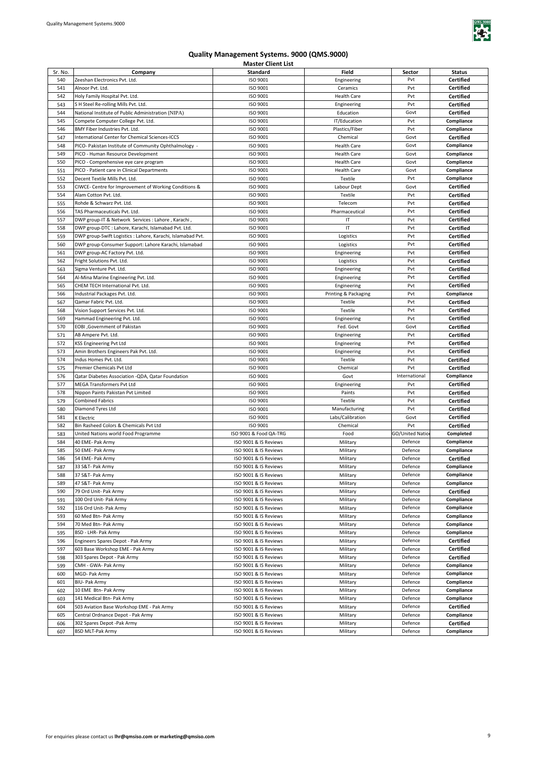

| Sr. No. | Company                                                     | Standard               | Field                | Sector          | <b>Status</b>    |
|---------|-------------------------------------------------------------|------------------------|----------------------|-----------------|------------------|
| 540     | Zeeshan Electronics Pvt. Ltd.                               | ISO 9001               | Engineering          | Pvt             | Certified        |
| 541     | Alnoor Pvt. Ltd.                                            | ISO 9001               | Ceramics             | Pvt             | Certified        |
| 542     | Holy Family Hospital Pvt. Ltd.                              | ISO 9001               | <b>Health Care</b>   | Pvt             | <b>Certified</b> |
| 543     | S H Steel Re-rolling Mills Pvt. Ltd.                        | ISO 9001               |                      | Pvt             | <b>Certified</b> |
|         | National Institute of Public Administration (NIPA)          | ISO 9001               | Engineering          | Govt            |                  |
| 544     |                                                             |                        | Education            |                 | <b>Certified</b> |
| 545     | Compete Computer College Pvt. Ltd.                          | ISO 9001               | IT/Education         | Pvt             | Compliance       |
| 546     | BMY Fiber Industries Pvt. Ltd.                              | ISO 9001               | Plastics/Fiber       | Pvt             | Compliance       |
| 547     | <b>International Center for Chemical Sciences-ICCS</b>      | ISO 9001               | Chemical             | Govt            | <b>Certified</b> |
| 548     | PICO- Pakistan Institute of Community Ophthalmology -       | ISO 9001               | <b>Health Care</b>   | Govt            | Compliance       |
| 549     | PICO - Human Resource Development                           | ISO 9001               | <b>Health Care</b>   | Govt            | Compliance       |
| 550     | PICO - Comprehensive eye care program                       | ISO 9001               | <b>Health Care</b>   | Govt            | Compliance       |
| 551     | PICO - Patient care in Clinical Departments                 | ISO 9001               | <b>Health Care</b>   | Govt            | Compliance       |
| 552     | Decent Textile Mills Pvt. Ltd.                              | ISO 9001               | Textile              | Pvt             | Compliance       |
| 553     | CIWCE- Centre for Improvement of Working Conditions &       | ISO 9001               | Labour Dept          | Govt            | <b>Certified</b> |
| 554     | Alam Cotton Pvt. Ltd.                                       | ISO 9001               | Textile              | Pvt             | <b>Certified</b> |
| 555     | Rohde & Schwarz Pvt. Ltd.                                   | ISO 9001               | Telecom              | Pvt             | <b>Certified</b> |
| 556     | TAS Pharmaceuticals Pvt. Ltd.                               | ISO 9001               | Pharmaceutical       | Pvt             | <b>Certified</b> |
| 557     | DWP group-IT & Network Services : Lahore, Karachi,          | ISO 9001               | ΙT                   | Pvt             | <b>Certified</b> |
| 558     | DWP group-DTC : Lahore, Karachi, Islamabad Pvt. Ltd.        | ISO 9001               | IT                   | Pvt             | <b>Certified</b> |
| 559     | DWP group-Swift Logistics : Lahore, Karachi, Islamabad Pvt. | ISO 9001               | Logistics            | Pvt             | <b>Certified</b> |
| 560     |                                                             | ISO 9001               |                      | Pvt             |                  |
|         | DWP group-Consumer Support: Lahore Karachi, Islamabad       |                        | Logistics            |                 | <b>Certified</b> |
| 561     | DWP group-AC Factory Pvt. Ltd.                              | ISO 9001               | Engineering          | Pvt             | <b>Certified</b> |
| 562     | Fright Solutions Pvt. Ltd.                                  | ISO 9001               | Logistics            | Pvt             | Certified        |
| 563     | Sigma Venture Pvt. Ltd.                                     | ISO 9001               | Engineering          | Pvt             | Certified        |
| 564     | Al-Mina Marine Engineering Pvt. Ltd.                        | ISO 9001               | Engineering          | Pvt             | Certified        |
| 565     | CHEM TECH International Pvt. Ltd.                           | ISO 9001               | Engineering          | Pvt             | <b>Certified</b> |
| 566     | Industrial Packages Pvt. Ltd.                               | ISO 9001               | Printing & Packaging | Pvt             | Compliance       |
| 567     | Qamar Fabric Pvt. Ltd.                                      | ISO 9001               | Textile              | Pvt             | <b>Certified</b> |
| 568     | Vision Support Services Pvt. Ltd.                           | ISO 9001               | Textile              | Pvt             | <b>Certified</b> |
| 569     | Hammad Engineering Pvt. Ltd.                                | ISO 9001               | Engineering          | Pvt             | <b>Certified</b> |
| 570     | <b>EOBI</b> , Government of Pakistan                        | ISO 9001               | Fed. Govt            | Govt            | <b>Certified</b> |
| 571     | AB Ampere Pvt. Ltd.                                         | ISO 9001               | Engineering          | Pvt             | <b>Certified</b> |
| 572     | KSS Engineering Pvt Ltd                                     | ISO 9001               | Engineering          | Pvt             | <b>Certified</b> |
| 573     | Amin Brothers Engineers Pak Pvt. Ltd.                       | ISO 9001               | Engineering          | Pvt             | <b>Certified</b> |
| 574     | Indus Homes Pvt. Ltd                                        | ISO 9001               | Textile              | Pvt             | <b>Certified</b> |
| 575     | Premier Chemicals Pvt Ltd                                   | ISO 9001               | Chemical             | Pvt             | <b>Certified</b> |
| 576     | Qatar Diabetes Association -QDA, Qatar Foundation           | ISO 9001               | Govt                 | International   | Compliance       |
| 577     | MEGA Transformers Pvt Ltd                                   | ISO 9001               | Engineering          | Pvt             | <b>Certified</b> |
| 578     | Nippon Paints Pakistan Pvt Limited                          | ISO 9001               | Paints               | Pvt             | <b>Certified</b> |
| 579     | <b>Combined Fabrics</b>                                     | ISO 9001               | Textile              | Pvt             | <b>Certified</b> |
| 580     | Diamond Tyres Ltd                                           | ISO 9001               | Manufacturing        | Pvt             | <b>Certified</b> |
| 581     |                                                             | ISO 9001               | Labs/Calibration     | Govt            | <b>Certified</b> |
|         | K Electric                                                  | ISO 9001               |                      |                 |                  |
| 582     | Bin Rasheed Colors & Chemicals Pvt Ltd                      |                        | Chemical             | Pvt             | Certified        |
| 583     | United Nations world Food Programme                         | ISO 9001 & Food QA-TRG | Food                 | GO/United Natio | Completed        |
| 584     | 40 EME- Pak Army                                            | ISO 9001 & IS Reviews  | Military             | Defence         | Compliance       |
| 585     | 50 EME- Pak Army                                            | ISO 9001 & IS Reviews  | Military             | Defence         | Compliance       |
| 586     | 54 EME- Pak Army                                            | ISO 9001 & IS Reviews  | Military             | Defence         | Certified        |
| 587     | 33 S&T- Pak Army                                            | ISO 9001 & IS Reviews  | Military             | Defence         | Compliance       |
| 588     | 37 S&T- Pak Army                                            | ISO 9001 & IS Reviews  | Military             | Defence         | Compliance       |
| 589     | 47 S&T- Pak Army                                            | ISO 9001 & IS Reviews  | Military             | Defence         | Compliance       |
| 590     | 79 Ord Unit- Pak Army                                       | ISO 9001 & IS Reviews  | Military             | Defence         | Certified        |
| 591     | 100 Ord Unit- Pak Army                                      | ISO 9001 & IS Reviews  | Military             | Defence         | Compliance       |
| 592     | 116 Ord Unit- Pak Army                                      | ISO 9001 & IS Reviews  | Military             | Defence         | Compliance       |
| 593     | 60 Med Btn- Pak Army                                        | ISO 9001 & IS Reviews  | Military             | Defence         | Compliance       |
| 594     | 70 Med Btn- Pak Army                                        | ISO 9001 & IS Reviews  | Military             | Defence         | Compliance       |
| 595     | BSD - LHR- Pak Army                                         | ISO 9001 & IS Reviews  | Military             | Defence         | Compliance       |
| 596     | Engineers Spares Depot - Pak Army                           | ISO 9001 & IS Reviews  | Military             | Defence         | Certified        |
| 597     | 603 Base Workshop EME - Pak Army                            | ISO 9001 & IS Reviews  | Military             | Defence         | Certified        |
| 598     | 303 Spares Depot - Pak Army                                 | ISO 9001 & IS Reviews  | Military             | Defence         | <b>Certified</b> |
| 599     | CMH - GWA- Pak Army                                         | ISO 9001 & IS Reviews  | Military             | Defence         | Compliance       |
|         |                                                             |                        |                      |                 |                  |
| 600     | MGD- Pak Army                                               | ISO 9001 & IS Reviews  | Military             | Defence         | Compliance       |
| 601     | <b>BIU- Pak Army</b>                                        | ISO 9001 & IS Reviews  | Military             | Defence         | Compliance       |
| 602     | 10 EME Btn- Pak Army                                        | ISO 9001 & IS Reviews  | Military             | Defence         | Compliance       |
| 603     | 141 Medical Btn- Pak Army                                   | ISO 9001 & IS Reviews  | Military             | Defence         | Compliance       |
| 604     | 503 Aviation Base Workshop EME - Pak Army                   | ISO 9001 & IS Reviews  | Military             | Defence         | <b>Certified</b> |
| 605     | Central Ordnance Depot - Pak Army                           | ISO 9001 & IS Reviews  | Military             | Defence         | Compliance       |
| 606     | 302 Spares Depot -Pak Army                                  | ISO 9001 & IS Reviews  | Military             | Defence         | Certified        |
| 607     | <b>BSD MLT-Pak Army</b>                                     | ISO 9001 & IS Reviews  | Military             | Defence         | Compliance       |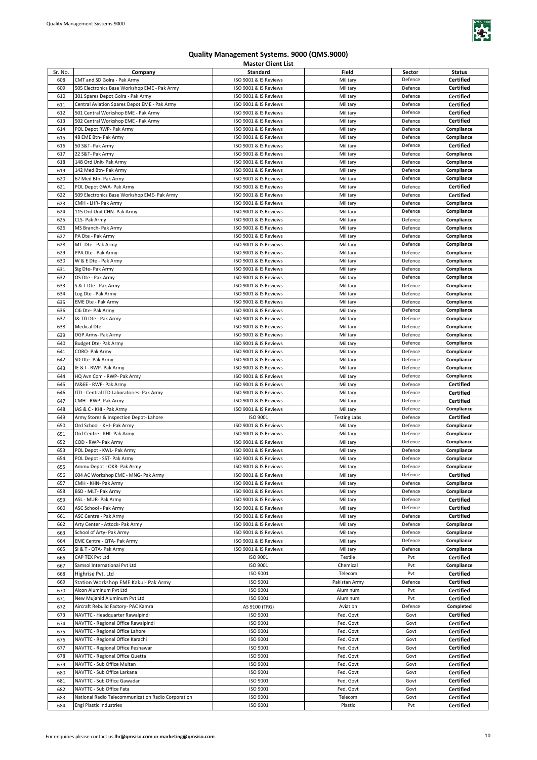

| Sr. No.    | Company                                                    | Standard                                       | Field                | Sector             | <b>Status</b>            |
|------------|------------------------------------------------------------|------------------------------------------------|----------------------|--------------------|--------------------------|
| 608        | CMT and SD Golra - Pak Army                                | ISO 9001 & IS Reviews                          | Military             | Defence            | <b>Certified</b>         |
| 609        | 505 Electronics Base Workshop EME - Pak Army               | ISO 9001 & IS Reviews                          | Military             | Defence            | <b>Certified</b>         |
| 610        | 301 Spares Depot Golra - Pak Army                          | ISO 9001 & IS Reviews                          | Military             | Defence            | <b>Certified</b>         |
| 611        | Central Aviation Spares Depot EME - Pak Army               | ISO 9001 & IS Reviews                          | Military             | Defence            | <b>Certified</b>         |
| 612        | 501 Central Workshop EME - Pak Army                        | ISO 9001 & IS Reviews                          | Military             | Defence            | <b>Certified</b>         |
| 613        | 502 Central Workshop EME - Pak Army                        | ISO 9001 & IS Reviews                          | Military             | Defence            | <b>Certified</b>         |
| 614        | POL Depot RWP- Pak Army                                    | ISO 9001 & IS Reviews                          | Military             | Defence            | Compliance               |
| 615        | 48 EME Btn- Pak Army                                       | ISO 9001 & IS Reviews                          | Military             | Defence            | Compliance               |
| 616        | 50 S&T- Pak Army                                           | ISO 9001 & IS Reviews                          | Military             | Defence            | <b>Certified</b>         |
| 617        | 22 S&T- Pak Army                                           | ISO 9001 & IS Reviews                          | Military             | Defence            | Compliance               |
| 618        | 148 Ord Unit- Pak Army                                     | ISO 9001 & IS Reviews                          | Military             | Defence            | Compliance               |
| 619        | 142 Med Btn- Pak Army                                      | ISO 9001 & IS Reviews                          | Military             | Defence            | Compliance               |
| 620        | 67 Med Btn- Pak Army<br>POL Depot GWA- Pak Army            | ISO 9001 & IS Reviews                          | Military             | Defence            | Compliance               |
| 621        |                                                            | ISO 9001 & IS Reviews                          | Military             | Defence<br>Defence | Certified                |
| 622        | 509 Electronics Base Workshop EME- Pak Army                | ISO 9001 & IS Reviews                          | Military             |                    | Certified                |
| 623<br>624 | CMH - LHR- Pak Army<br>115 Ord Unit CHN- Pak Army          | ISO 9001 & IS Reviews<br>ISO 9001 & IS Reviews | Military             | Defence<br>Defence | Compliance<br>Compliance |
| 625        | CLS- Pak Army                                              | ISO 9001 & IS Reviews                          | Military             | Defence            | Compliance               |
| 626        | MS Branch- Pak Army                                        | ISO 9001 & IS Reviews                          | Military<br>Military | Defence            | Compliance               |
| 627        | PA Dte - Pak Army                                          | ISO 9001 & IS Reviews                          | Military             | Defence            | Compliance               |
| 628        | MT Dte - Pak Army                                          | ISO 9001 & IS Reviews                          | Military             | Defence            | Compliance               |
| 629        | PPA Dte - Pak Army                                         | ISO 9001 & IS Reviews                          | Military             | Defence            | Compliance               |
| 630        | W & E Dte - Pak Army                                       | ISO 9001 & IS Reviews                          | Military             | Defence            | Compliance               |
| 631        | Sig Dte- Pak Army                                          | ISO 9001 & IS Reviews                          | Military             | Defence            | Compliance               |
| 632        | OS Dte - Pak Army                                          | ISO 9001 & IS Reviews                          | Military             | Defence            | Compliance               |
| 633        | S & T Dte - Pak Army                                       | ISO 9001 & IS Reviews                          | Military             | Defence            | Compliance               |
| 634        | Log Dte - Pak Army                                         | ISO 9001 & IS Reviews                          | Military             | Defence            | Compliance               |
| 635        | EME Dte - Pak Army                                         | ISO 9001 & IS Reviews                          | Military             | Defence            | Compliance               |
| 636        | C4i Dte- Pak Army                                          | ISO 9001 & IS Reviews                          | Military             | Defence            | Compliance               |
| 637        | I& TD Dte - Pak Army                                       | ISO 9001 & IS Reviews                          | Military             | Defence            | Compliance               |
| 638        | <b>Medical Dte</b>                                         | ISO 9001 & IS Reviews                          | Military             | Defence            | Compliance               |
| 639        | DGP Army- Pak Army                                         | ISO 9001 & IS Reviews                          | Military             | Defence            | Compliance               |
| 640        | Budget Dte- Pak Army                                       | ISO 9001 & IS Reviews                          | Military             | Defence            | Compliance               |
| 641        | CORO- Pak Army                                             | ISO 9001 & IS Reviews                          | Military             | Defence            | Compliance               |
| 642        | SD Dte- Pak Army                                           | ISO 9001 & IS Reviews                          | Military             | Defence            | Compliance               |
| 643        | IE & I - RWP- Pak Army                                     | ISO 9001 & IS Reviews                          | Military             | Defence            | Compliance               |
| 644        | HQ Avn Com - RWP- Pak Army                                 | ISO 9001 & IS Reviews                          | Military             | Defence            | Compliance               |
| 645        | IV&EE - RWP- Pak Army                                      | ISO 9001 & IS Reviews                          | Military             | Defence            | Certified                |
| 646        | ITD - Central ITD Laboratories- Pak Army                   | ISO 9001 & IS Reviews                          | Military             | Defence            | Certified                |
| 647        | CMH - RWP- Pak Army                                        | ISO 9001 & IS Reviews                          | Military             | Defence            | Certified                |
| 648        | IAS & C - KHI - Pak Army                                   | ISO 9001 & IS Reviews                          | Military             | Defence            | Compliance               |
| 649        | Army Stores & Inspection Depot-Lahore                      | ISO 9001                                       | <b>Testing Labs</b>  | Defence            | <b>Certified</b>         |
| 650        | Ord School - KHI- Pak Army                                 | ISO 9001 & IS Reviews                          | Military             | Defence            | Compliance               |
| 651        | Ord Centre - KHI- Pak Army                                 | ISO 9001 & IS Reviews                          | Military             | Defence            | Compliance               |
| 652        | COD - RWP- Pak Army                                        | ISO 9001 & IS Reviews                          | Military             | Defence            | Compliance               |
| 653        | POL Depot - KWL- Pak Army                                  | ISO 9001 & IS Reviews                          | Military             | Defence            | Compliance               |
| 654        | POL Depot - SST- Pak Army                                  | ISO 9001 & IS Reviews                          | Military             | Defence            | Compliance               |
| 655        | Ammu Depot - OKR- Pak Army                                 | ISO 9001 & IS Reviews                          | Military             | Defence            | Compliance               |
| 656        | 604 AC Workshop EME - MNG- Pak Army                        | ISO 9001 & IS Reviews                          | Military             | Defence            | Certified                |
| 657        | CMH - KHN- Pak Army                                        | ISO 9001 & IS Reviews                          | Military             | Defence            | Compliance               |
| 658        | BSD - MLT- Pak Army                                        | ISO 9001 & IS Reviews                          | Military             | Defence            | Compliance               |
| 659        | ASL - MUR- Pak Army                                        | ISO 9001 & IS Reviews                          | Military             | Defence            | Certified                |
| 660        | ASC School - Pak Army                                      | ISO 9001 & IS Reviews                          | Military             | Defence            | Certified                |
| 661        | ASC Centre - Pak Army                                      | ISO 9001 & IS Reviews                          | Military             | Defence            | <b>Certified</b>         |
| 662        | Arty Center - Attock- Pak Army<br>School of Arty- Pak Army | ISO 9001 & IS Reviews<br>ISO 9001 & IS Reviews | Military             | Defence<br>Defence | Compliance<br>Compliance |
| 663<br>664 | EME Centre - QTA- Pak Army                                 | ISO 9001 & IS Reviews                          | Military<br>Military | Defence            | Compliance               |
| 665        | SI & T - QTA- Pak Army                                     | ISO 9001 & IS Reviews                          | Military             | Defence            | Compliance               |
| 666        | CAP TEX Pvt Ltd                                            | ISO 9001                                       | Textile              | Pvt                | Certified                |
| 667        | Samsol International Pvt Ltd                               | ISO 9001                                       | Chemical             | Pvt                | Compliance               |
| 668        | Highrise Pvt. Ltd                                          | ISO 9001                                       | Telecom              | Pvt                | Certified                |
| 669        | Station Workshop EME Kakul- Pak Army                       | ISO 9001                                       | Pakistan Army        | Defence            | <b>Certified</b>         |
| 670        | Alcon Aluminum Pvt Ltd                                     | ISO 9001                                       | Aluminum             | Pvt                | <b>Certified</b>         |
| 671        | New Mujahid Aluminum Pvt Ltd                               | ISO 9001                                       | Aluminum             | Pvt                | <b>Certified</b>         |
| 672        | Aircraft Rebuild Factory- PAC Kamra                        | AS 9100 (TRG)                                  | Aviation             | Defence            | Completed                |
| 673        | NAVTTC - Headquarter Rawalpindi                            | ISO 9001                                       | Fed. Govt            | Govt               | <b>Certified</b>         |
| 674        | NAVTTC - Regional Office Rawalpindi                        | ISO 9001                                       | Fed. Govt            | Govt               | <b>Certified</b>         |
| 675        | NAVTTC - Regional Office Lahore                            | ISO 9001                                       | Fed. Govt            | Govt               | <b>Certified</b>         |
| 676        | NAVTTC - Regional Office Karachi                           | ISO 9001                                       | Fed. Govt            | Govt               | <b>Certified</b>         |
| 677        | NAVTTC - Regional Office Peshawar                          | ISO 9001                                       | Fed. Govt            | Govt               | Certified                |
| 678        | NAVTTC - Regional Office Quetta                            | ISO 9001                                       | Fed. Govt            | Govt               | Certified                |
| 679        | NAVTTC - Sub Office Multan                                 | ISO 9001                                       | Fed. Govt            | Govt               | <b>Certified</b>         |
| 680        | NAVTTC - Sub Office Larkana                                | ISO 9001                                       | Fed. Govt            | Govt               | <b>Certified</b>         |
| 681        | NAVTTC - Sub Office Gawadar                                | ISO 9001                                       | Fed. Govt            | Govt               | Certified                |
| 682        | NAVTTC - Sub Office Fata                                   | ISO 9001                                       | Fed. Govt            | Govt               | Certified                |
| 683        | National Radio Telecommunication Radio Corporation         | ISO 9001                                       | Telecom              | Govt               | Certified                |
| 684        | Engi Plastic Industries                                    | ISO 9001                                       | Plastic              | Pvt                | <b>Certified</b>         |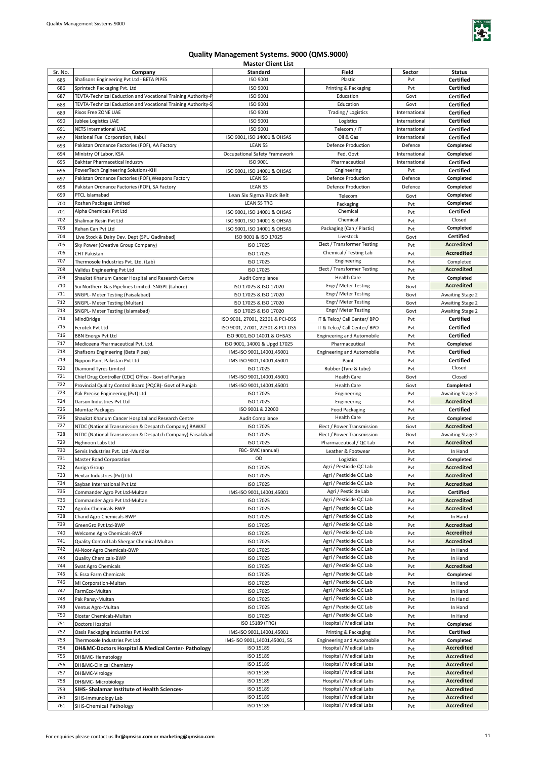

| Sr. No. |                                                               | Standard                         | Field                             |               | <b>Status</b>           |
|---------|---------------------------------------------------------------|----------------------------------|-----------------------------------|---------------|-------------------------|
|         | Company                                                       |                                  |                                   | Sector        |                         |
| 685     | Shafisons Engineering Pvt Ltd - BETA PIPES                    | ISO 9001                         | Plastic                           | Pvt           | Certified               |
| 686     | Sprintech Packaging Pvt. Ltd                                  | ISO 9001                         | Printing & Packaging              | Pvt           | Certified               |
| 687     | TEVTA-Technical Eaduction and Vocational Training Authority-P | <b>ISO 9001</b>                  | Education                         | Govt          | <b>Certified</b>        |
| 688     | TEVTA-Technical Eaduction and Vocational Training Authority-S | ISO 9001                         | Education                         | Govt          | Certified               |
| 689     | Rixos Free ZONE UAE                                           | ISO 9001                         | Trading / Logistics               | International | <b>Certified</b>        |
|         |                                                               |                                  |                                   |               |                         |
| 690     | Jublee Logistics UAE                                          | ISO 9001                         | Logistics                         | International | <b>Certified</b>        |
| 691     | <b>NETS International UAE</b>                                 | ISO 9001                         | Telecom / IT                      | International | <b>Certified</b>        |
| 692     | National Fuel Corporation, Kabul                              | ISO 9001, ISO 14001 & OHSAS      | Oil & Gas                         | International | <b>Certified</b>        |
| 693     | Pakistan Ordnance Factories (POF), AA Factory                 | <b>LEAN 5S</b>                   | <b>Defence Production</b>         | Defence       | Completed               |
|         |                                                               |                                  |                                   |               |                         |
| 694     | Ministry Of Labor, KSA                                        | Occupational Safety Framework    | Fed. Govt                         | International | Completed               |
| 695     | Bakhtar Pharmacetical Industry                                | ISO 9001                         | Pharmaceutical                    | International | <b>Certified</b>        |
| 696     | PowerTech Engineering Solutions-KHI                           | ISO 9001, ISO 14001 & OHSAS      | Engineering                       | Pvt           | <b>Certified</b>        |
| 697     | Pakistan Ordnance Factories (POF), Weapons Factory            | LEAN 5S                          | <b>Defence Production</b>         | Defence       | Completed               |
|         |                                                               |                                  |                                   |               |                         |
| 698     | Pakistan Ordnance Factories (POF), SA Factory                 | LEAN 5S                          | <b>Defence Production</b>         | Defence       | Completed               |
| 699     | PTCL Islamabad                                                | Lean Six Sigma Black Belt        | Telecom                           | Govt          | Completed               |
| 700     | Roshan Packages Limited                                       | <b>LEAN 5S TRG</b>               | Packaging                         | Pvt           | Completed               |
| 701     | Alpha Chemicals Pvt Ltd                                       | ISO 9001, ISO 14001 & OHSAS      | Chemical                          | Pvt           | <b>Certified</b>        |
| 702     |                                                               |                                  | Chemical                          |               | Closed                  |
|         | Shalimar Resin Pvt Ltd                                        | ISO 9001, ISO 14001 & OHSAS      |                                   | Pvt           |                         |
| 703     | Rehan Can Pvt Ltd                                             | ISO 9001, ISO 14001 & OHSAS      | Packaging (Can / Plastic)         | Pvt           | Completed               |
| 704     | Live Stock & Dairy Dev. Dept (SPU Qadirabad)                  | ISO 9001 & ISO 17025             | Livestock                         | Govt          | <b>Certified</b>        |
| 705     | Sky Power (Creative Group Company)                            | ISO 17025                        | Elect / Transformer Testing       | Pvt           | <b>Accredited</b>       |
| 706     |                                                               |                                  | Chemical / Testing Lab            | Pvt           | <b>Accredited</b>       |
|         | CHT Pakistan                                                  | ISO 17025                        |                                   |               |                         |
| 707     | Thermosole Industries Pvt. Ltd. (Lab)                         | ISO 17025                        | Engineering                       | Pvt           | Completed               |
| 708     | Validus Engineering Pvt Ltd                                   | ISO 17025                        | Elect / Transformer Testing       | Pvt           | <b>Accredited</b>       |
| 709     | Shaukat Khanum Cancer Hospital and Research Centre            | Audit Compliance                 | <b>Health Care</b>                | Pvt           | Completed               |
| 710     | Sui Northern Gas Pipelines Limited- SNGPL (Lahore)            | ISO 17025 & ISO 17020            | Engr/Meter Testing                | Govt          | <b>Accredited</b>       |
|         |                                                               |                                  |                                   |               |                         |
| 711     | SNGPL- Meter Testing (Faisalabad)                             | ISO 17025 & ISO 17020            | Engr/ Meter Testing               | Govt          | Awaiting Stage 2        |
| 712     | SNGPL- Meter Testing (Multan)                                 | ISO 17025 & ISO 17020            | Engr/ Meter Testing               | Govt          | Awaiting Stage 2        |
| 713     | SNGPL- Meter Testing (Islamabad)                              | ISO 17025 & ISO 17020            | Engr/ Meter Testing               | Govt          | Awaiting Stage 2        |
| 714     | MindBridge                                                    | ISO 9001, 27001, 22301 & PCI-DSS | IT & Telco/ Call Center/ BPO      | Pvt           | Certified               |
|         |                                                               |                                  |                                   |               |                         |
| 715     | Ferotek Pvt Ltd                                               | ISO 9001, 27001, 22301 & PCI-DSS | IT & Telco/ Call Center/ BPO      | Pvt           | Certified               |
| 716     | <b>BBN Energy Pvt Ltd</b>                                     | ISO 9001, ISO 14001 & OHSAS      | <b>Engineering and Automobile</b> | Pvt           | Certified               |
| 717     | Mediceena Pharmaceutical Pvt. Ltd.                            | ISO 9001, 14001 & Upgd 17025     | Pharmaceutical                    | Pvt           | Completed               |
| 718     | Shafisons Engineering (Beta Pipes)                            | IMS-ISO 9001,14001,45001         | <b>Engineering and Automobile</b> | Pvt           | <b>Certified</b>        |
| 719     |                                                               |                                  |                                   |               |                         |
|         | Nippon Paint Pakistan Pvt Ltd                                 | IMS-ISO 9001,14001,45001         | Paint                             | Pvt           | <b>Certified</b>        |
| 720     | Diamond Tyres Limited                                         | ISO 17025                        | Rubber (Tyre & tube)              | Pvt           | Closed                  |
| 721     | Chief Drug Controller (CDC) Office - Govt of Punjab           | IMS-ISO 9001,14001,45001         | <b>Health Care</b>                | Govt          | Closed                  |
| 722     | Provincial Quality Control Board (PQCB)- Govt of Punjab       | IMS-ISO 9001,14001,45001         | <b>Health Care</b>                | Govt          | Completed               |
| 723     | Pak Precise Engineering (Pvt) Ltd                             | ISO 17025                        | Engineering                       | Pvt           | Awaiting Stage 2        |
|         |                                                               |                                  |                                   |               |                         |
| 724     | Darson Industries Pvt Ltd                                     | ISO 17025                        | Engineering                       | Pvt           | <b>Accredited</b>       |
| 725     | Mumtaz Packages                                               | ISO 9001 & 22000                 | <b>Food Packaging</b>             | Pvt           | Certified               |
| 726     | Shaukat Khanum Cancer Hospital and Research Centre            | Audit Compliance                 | <b>Health Care</b>                | Pvt           | Completed               |
| 727     | NTDC (National Transmission & Despatch Company) RAWAT         | ISO 17025                        | Elect / Power Transmission        | Govt          | Accredited              |
|         |                                                               |                                  |                                   |               |                         |
| 728     | NTDC (National Transmission & Despatch Company) Faisalabad    | ISO 17025                        | Elect / Power Transmission        | Govt          | <b>Awaiting Stage 2</b> |
| 729     | Highnoon Labs Ltd                                             | ISO 17025                        | Pharmaceutical / QC Lab           | Pvt           | <b>Accredited</b>       |
| 730     | Servis Industries Pvt. Ltd -Muridke                           | FBC-SMC (annual)                 | Leather & Footwear                | Pvt           | In Hand                 |
| 731     | Master Road Corporation                                       | OD                               | Logistics                         | Pvt           | Completed               |
| 732     |                                                               |                                  | Agri / Pesticide QC Lab           |               | <b>Accredited</b>       |
|         | Auriga Group                                                  | ISO 17025                        |                                   | Pvt           |                         |
| 733     | Hextar Industries (Pvt) Ltd.                                  | ISO 17025                        | Agri / Pesticide QC Lab           | Pvt           | <b>Accredited</b>       |
| 734     | Sayban International Pvt Ltd                                  | ISO 17025                        | Agri / Pesticide QC Lab           | Pvt           | <b>Accredited</b>       |
| 735     | Commander Agro Pvt Ltd-Multan                                 | IMS-ISO 9001,14001,45001         | Agri / Pesticide Lab              | Pvt           | <b>Certified</b>        |
| 736     | Commander Agro Pvt Ltd-Multan                                 | ISO 17025                        | Agri / Pesticide QC Lab           | Pvt           | <b>Accredited</b>       |
|         |                                                               |                                  |                                   |               |                         |
| 737     | <b>Agrolix Chemicals-BWP</b>                                  | ISO 17025                        | Agri / Pesticide QC Lab           | Pvt           | <b>Accredited</b>       |
| 738     | Chand Agro Chemicals-BWP                                      | ISO 17025                        | Agri / Pesticide QC Lab           | Pvt           | In Hand                 |
| 739     | GreenGro Pvt Ltd-BWP                                          | ISO 17025                        | Agri / Pesticide QC Lab           | Pvt           | <b>Accredited</b>       |
| 740     | Welcome Agro Chemicals-BWP                                    | ISO 17025                        | Agri / Pesticide QC Lab           | Pvt           | <b>Accredited</b>       |
| 741     | Quality Control Lab Shergar Chemical Multan                   | ISO 17025                        | Agri / Pesticide QC Lab           | Pvt           | <b>Accredited</b>       |
|         |                                                               |                                  |                                   |               |                         |
| 742     | Al-Noor Agro Chemicals-BWP                                    | ISO 17025                        | Agri / Pesticide QC Lab           | Pvt           | In Hand                 |
| 743     | <b>Quality Chemicals-BWP</b>                                  | ISO 17025                        | Agri / Pesticide QC Lab           | Pvt           | In Hand                 |
| 744     | Swat Agro Chemicals                                           | ISO 17025                        | Agri / Pesticide QC Lab           | Pvt           | <b>Accredited</b>       |
| 745     | S. Essa Farm Chemicals                                        | ISO 17025                        | Agri / Pesticide QC Lab           | Pvt           | Completed               |
| 746     |                                                               |                                  | Agri / Pesticide QC Lab           |               |                         |
|         | MI Corporation-Multan                                         | ISO 17025                        |                                   | Pvt           | In Hand                 |
| 747     | FarmEco-Multan                                                | ISO 17025                        | Agri / Pesticide QC Lab           | Pvt           | In Hand                 |
| 748     | Pak Pansy-Multan                                              | ISO 17025                        | Agri / Pesticide QC Lab           | Pvt           | In Hand                 |
| 749     | Ventus Agro-Multan                                            | ISO 17025                        | Agri / Pesticide QC Lab           | Pvt           | In Hand                 |
| 750     | Biostar Chemicals-Multan                                      | ISO 17025                        | Agri / Pesticide QC Lab           | Pvt           | In Hand                 |
|         |                                                               |                                  |                                   |               |                         |
| 751     | Doctors Hospital                                              | ISO 15189 (TRG)                  | Hospital / Medical Labs           | Pvt           | Completed               |
| 752     | Oasis Packaging Industries Pvt Ltd                            | IMS-ISO 9001,14001,45001         | Printing & Packaging              | Pvt           | Certified               |
| 753     | Thermosole Industries Pvt Ltd                                 | IMS-ISO 9001,14001,45001, 5S     | <b>Engineering and Automobile</b> | Pvt           | Completed               |
| 754     | DH&MC-Doctors Hospital & Medical Center- Pathology            | ISO 15189                        | Hospital / Medical Labs           | Pvt           | Accredited              |
| 755     |                                                               | ISO 15189                        | Hospital / Medical Labs           |               | Accredited              |
|         | DH&MC-Hematology                                              |                                  |                                   | Pvt           |                         |
| 756     | DH&MC-Clinical Chemistry                                      | ISO 15189                        | Hospital / Medical Labs           | Pvt           | Accredited              |
| 757     | DH&MC-Virology                                                | ISO 15189                        | Hospital / Medical Labs           | Pvt           | <b>Accredited</b>       |
| 758     | DH&MC-Microbiology                                            | ISO 15189                        | Hospital / Medical Labs           | Pvt           | Accredited              |
| 759     | SIHS- Shalamar Institute of Health Sciences-                  | ISO 15189                        | Hospital / Medical Labs           |               | Accredited              |
|         |                                                               |                                  |                                   | Pvt           |                         |
| 760     | SIHS-Immunology Lab                                           | ISO 15189                        | Hospital / Medical Labs           | Pvt           | Accredited              |
| 761     | SIHS-Chemical Pathology                                       | ISO 15189                        | Hospital / Medical Labs           | Pvt           | <b>Accredited</b>       |